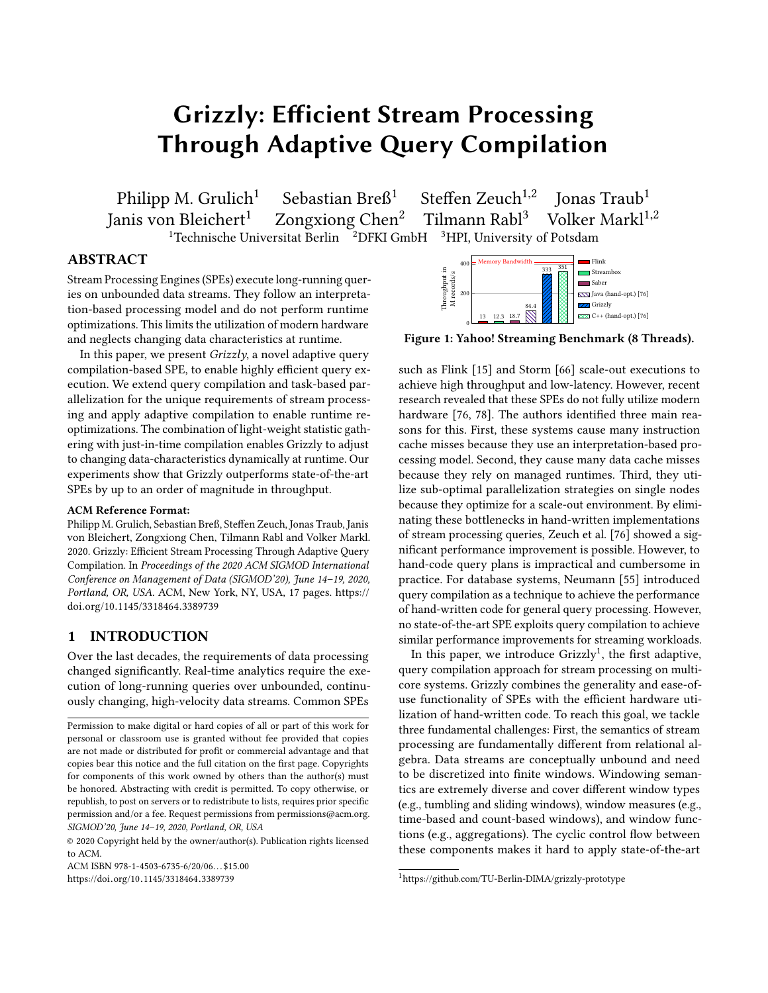# Grizzly: Efficient Stream Processing Through Adaptive Query Compilation

Philipp M. Grulich<sup>1</sup> Sebastian Breß<sup>1</sup> Steffen Zeuch<sup>1,2</sup><br>Janis von Bleichert<sup>1</sup> Zongxiong Chen<sup>2</sup> Tilmann Rabl<sup>3</sup> Steffen Zeuch<sup>1,2</sup> Ionas Traub<sup>1</sup> Zongxiong Chen<sup>2</sup> Tilmann Rabl<sup>3</sup> Volker Markl<sup>1,2</sup> <sup>1</sup>Technische Universitat Berlin <sup>2</sup>DFKI GmbH <sup>3</sup>HPI, University of Potsdam

# ABSTRACT

Stream Processing Engines (SPEs) execute long-running queries on unbounded data streams. They follow an interpretation-based processing model and do not perform runtime optimizations. This limits the utilization of modern hardware and neglects changing data characteristics at runtime.

In this paper, we present  $Grizzly$ , a novel adaptive query compilation-based SPE, to enable highly efficient query execution. We extend query compilation and task-based parallelization for the unique requirements of stream processing and apply adaptive compilation to enable runtime reoptimizations. The combination of light-weight statistic gathering with just-in-time compilation enables Grizzly to adjust to changing data-characteristics dynamically at runtime. Our experiments show that Grizzly outperforms state-of-the-art SPEs by up to an order of magnitude in throughput.

#### ACM Reference Format:

Philipp M. Grulich, Sebastian Breß, Steffen Zeuch, Jonas Traub, Janis von Bleichert, Zongxiong Chen, Tilmann Rabl and Volker Markl. 2020. Grizzly: Efficient Stream Processing Through Adaptive Query Compilation. In Proceedings of the 2020 ACM SIGMOD International Conference on Management of Data (SIGMOD'20), June 14–19, 2020, Portland, OR, USA. ACM, New York, NY, USA, [17](#page-16-0) pages. [https://](https://doi.org/10.1145/3318464.3389739) doi.org/10.[1145/3318464](https://doi.org/10.1145/3318464.3389739).<sup>3389739</sup>

## 1 INTRODUCTION

Over the last decades, the requirements of data processing changed significantly. Real-time analytics require the execution of long-running queries over unbounded, continuously changing, high-velocity data streams. Common SPEs

<span id="page-0-1"></span>

Figure 1: Yahoo! Streaming Benchmark (8 Threads).

such as Flink [\[15\]](#page-14-0) and Storm [\[66\]](#page-15-0) scale-out executions to achieve high throughput and low-latency. However, recent research revealed that these SPEs do not fully utilize modern hardware [\[76,](#page-15-1) [78\]](#page-15-2). The authors identified three main reasons for this. First, these systems cause many instruction cache misses because they use an interpretation-based processing model. Second, they cause many data cache misses because they rely on managed runtimes. Third, they utilize sub-optimal parallelization strategies on single nodes because they optimize for a scale-out environment. By eliminating these bottlenecks in hand-written implementations of stream processing queries, Zeuch et al. [\[76\]](#page-15-1) showed a significant performance improvement is possible. However, to hand-code query plans is impractical and cumbersome in practice. For database systems, Neumann [\[55\]](#page-15-3) introduced query compilation as a technique to achieve the performance of hand-written code for general query processing. However, no state-of-the-art SPE exploits query compilation to achieve similar performance improvements for streaming workloads.

In this paper, we introduce  $Grizzly<sup>1</sup>$  $Grizzly<sup>1</sup>$  $Grizzly<sup>1</sup>$ , the first adaptive, query compilation approach for stream processing on multicore systems. Grizzly combines the generality and ease-ofuse functionality of SPEs with the efficient hardware utilization of hand-written code. To reach this goal, we tackle three fundamental challenges: First, the semantics of stream processing are fundamentally different from relational algebra. Data streams are conceptually unbound and need to be discretized into finite windows. Windowing semantics are extremely diverse and cover different window types (e.g., tumbling and sliding windows), window measures (e.g., time-based and count-based windows), and window functions (e.g., aggregations). The cyclic control flow between these components makes it hard to apply state-of-the-art

Permission to make digital or hard copies of all or part of this work for personal or classroom use is granted without fee provided that copies are not made or distributed for profit or commercial advantage and that copies bear this notice and the full citation on the first page. Copyrights for components of this work owned by others than the author(s) must be honored. Abstracting with credit is permitted. To copy otherwise, or republish, to post on servers or to redistribute to lists, requires prior specific permission and/or a fee. Request permissions from permissions@acm.org. SIGMOD'20, June 14–19, 2020, Portland, OR, USA

<sup>©</sup> 2020 Copyright held by the owner/author(s). Publication rights licensed to ACM.

ACM ISBN 978-1-4503-6735-6/20/06. . . \$15.00

https://doi.org/10.[1145/3318464](https://doi.org/10.1145/3318464.3389739).<sup>3389739</sup>

<span id="page-0-0"></span><sup>1</sup>https://github.com/TU-Berlin-DIMA/grizzly-prototype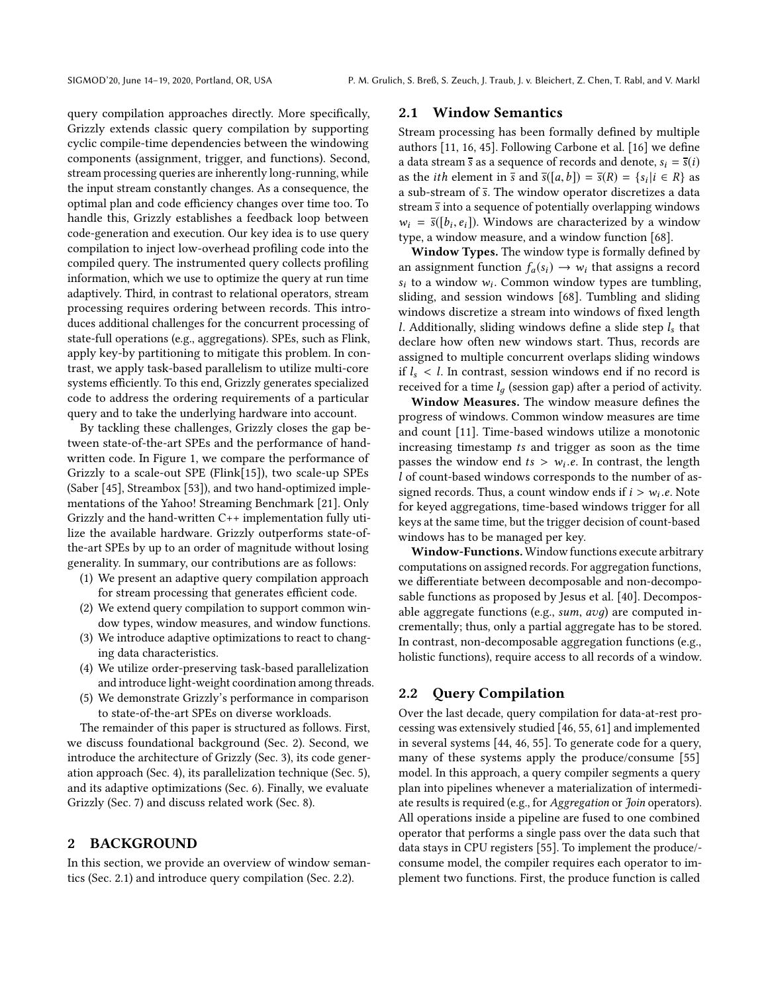query compilation approaches directly. More specifically, Grizzly extends classic query compilation by supporting cyclic compile-time dependencies between the windowing components (assignment, trigger, and functions). Second, stream processing queries are inherently long-running, while the input stream constantly changes. As a consequence, the optimal plan and code efficiency changes over time too. To handle this, Grizzly establishes a feedback loop between code-generation and execution. Our key idea is to use query compilation to inject low-overhead profiling code into the compiled query. The instrumented query collects profiling information, which we use to optimize the query at run time adaptively. Third, in contrast to relational operators, stream processing requires ordering between records. This introduces additional challenges for the concurrent processing of state-full operations (e.g., aggregations). SPEs, such as Flink, apply key-by partitioning to mitigate this problem. In contrast, we apply task-based parallelism to utilize multi-core systems efficiently. To this end, Grizzly generates specialized code to address the ordering requirements of a particular query and to take the underlying hardware into account.

By tackling these challenges, Grizzly closes the gap between state-of-the-art SPEs and the performance of handwritten code. In Figure [1,](#page-0-1) we compare the performance of Grizzly to a scale-out SPE (Flink[\[15\]](#page-14-0)), two scale-up SPEs (Saber [\[45\]](#page-15-4), Streambox [\[53\]](#page-15-5)), and two hand-optimized implementations of the Yahoo! Streaming Benchmark [\[21\]](#page-14-1). Only Grizzly and the hand-written C++ implementation fully utilize the available hardware. Grizzly outperforms state-ofthe-art SPEs by up to an order of magnitude without losing generality. In summary, our contributions are as follows:

- (1) We present an adaptive query compilation approach for stream processing that generates efficient code.
- (2) We extend query compilation to support common window types, window measures, and window functions.
- (3) We introduce adaptive optimizations to react to changing data characteristics.
- (4) We utilize order-preserving task-based parallelization and introduce light-weight coordination among threads.
- (5) We demonstrate Grizzly's performance in comparison to state-of-the-art SPEs on diverse workloads.

The remainder of this paper is structured as follows. First, we discuss foundational background (Sec. [2\)](#page-1-0). Second, we introduce the architecture of Grizzly (Sec. [3\)](#page-2-0), its code generation approach (Sec. [4\)](#page-3-0), its parallelization technique (Sec. [5\)](#page-5-0), and its adaptive optimizations (Sec. [6\)](#page-6-0). Finally, we evaluate Grizzly (Sec. [7\)](#page-7-0) and discuss related work (Sec. [8\)](#page-13-0).

# <span id="page-1-0"></span>2 BACKGROUND

In this section, we provide an overview of window semantics (Sec. [2.1\)](#page-1-1) and introduce query compilation (Sec. [2.2\)](#page-1-2).

#### <span id="page-1-1"></span>2.1 Window Semantics

Stream processing has been formally defined by multiple authors [\[11,](#page-14-2) [16,](#page-14-3) [45\]](#page-15-4). Following Carbone et al. [\[16\]](#page-14-3) we define a data stream  $\overline{s}$  as a sequence of records and denote,  $s_i = \overline{s}(i)$ as the *i*th element in  $\bar{s}$  and  $\bar{s}([a, b]) = \bar{s}(R) = \{s_i | i \in R\}$  as a sub-stream of  $\bar{s}$ . The window operator discretizes a data a sub-stream of  $\overline{s}$ . The window operator discretizes a data stream  $\overline{s}$  into a sequence of potentially overlapping windows  $w_i = \bar{s}([b_i, e_i])$ . Windows are characterized by a window<br>type a window measure and a window function [68] type, a window measure, and a window function [\[68\]](#page-15-6).

Window Types. The window type is formally defined by an assignment function  $f_a(s_i) \rightarrow w_i$  that assigns a record  $s_i$  to a window  $w_i$ . Common window types are tumbling, sliding and session windows [68]. Tumbling and sliding sliding, and session windows [\[68\]](#page-15-6). Tumbling and sliding windows discretize a stream into windows of fixed length l. Additionally, sliding windows define a slide step  $l_s$  that declare how often new windows start. Thus, records are assigned to multiple concurrent overlaps sliding windows if  $l_s$  < l. In contrast, session windows end if no record is received for a time  $l_a$  (session gap) after a period of activity.

Window Measures. The window measure defines the progress of windows. Common window measures are time and count [\[11\]](#page-14-2). Time-based windows utilize a monotonic increasing timestamp ts and trigger as soon as the time passes the window end  $ts > w_i.e$ . In contrast, the length  $l$  of count-based windows corresponds to the number of asl of count-based windows corresponds to the number of assigned records. Thus, a count window ends if  $i > w_i.e$ . Note<br>for keyed aggregations, time-based windows trigger for all for keyed aggregations, time-based windows trigger for all keys at the same time, but the trigger decision of count-based windows has to be managed per key.

Window-Functions. Window functions execute arbitrary computations on assigned records. For aggregation functions, we differentiate between decomposable and non-decomposable functions as proposed by Jesus et al. [\[40\]](#page-15-7). Decomposable aggregate functions (e.g., sum, avд) are computed incrementally; thus, only a partial aggregate has to be stored. In contrast, non-decomposable aggregation functions (e.g., holistic functions), require access to all records of a window.

#### <span id="page-1-2"></span>2.2 Query Compilation

Over the last decade, query compilation for data-at-rest processing was extensively studied [\[46,](#page-15-8) [55,](#page-15-3) [61\]](#page-15-9) and implemented in several systems [\[44,](#page-15-10) [46,](#page-15-8) [55\]](#page-15-3). To generate code for a query, many of these systems apply the produce/consume [\[55\]](#page-15-3) model. In this approach, a query compiler segments a query plan into pipelines whenever a materialization of intermediate results is required (e.g., for Aggregation or Join operators). All operations inside a pipeline are fused to one combined operator that performs a single pass over the data such that data stays in CPU registers [\[55\]](#page-15-3). To implement the produce/ consume model, the compiler requires each operator to implement two functions. First, the produce function is called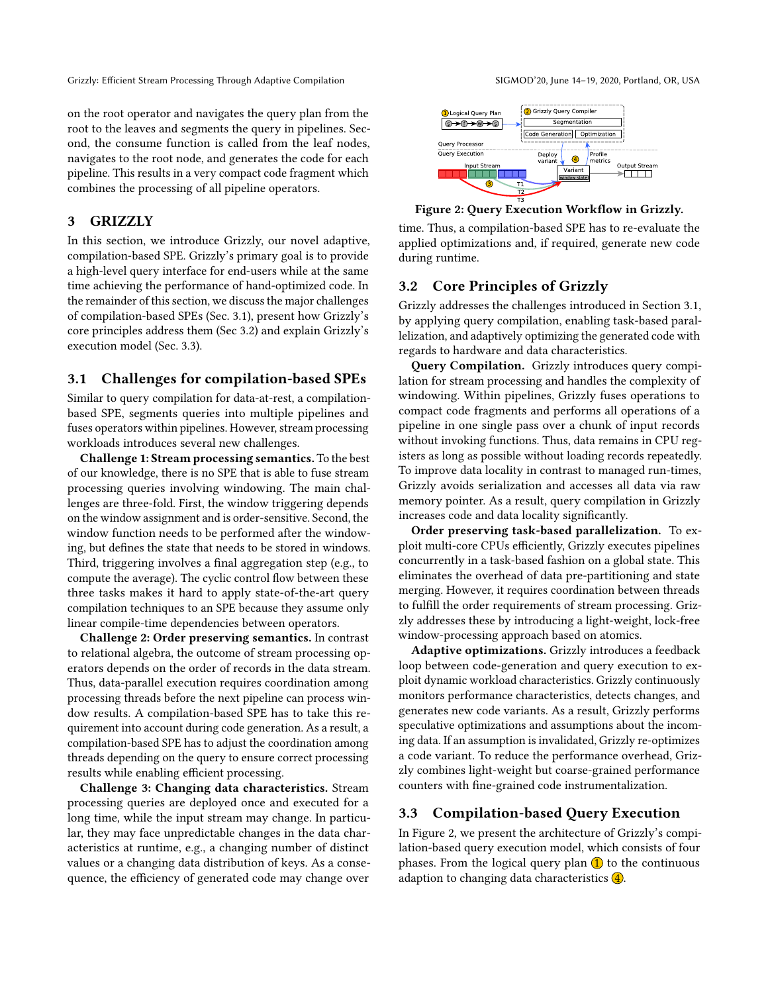on the root operator and navigates the query plan from the root to the leaves and segments the query in pipelines. Second, the consume function is called from the leaf nodes, navigates to the root node, and generates the code for each pipeline. This results in a very compact code fragment which combines the processing of all pipeline operators.

# <span id="page-2-0"></span>3 GRIZZLY

In this section, we introduce Grizzly, our novel adaptive, compilation-based SPE. Grizzly's primary goal is to provide a high-level query interface for end-users while at the same time achieving the performance of hand-optimized code. In the remainder of this section, we discuss the major challenges of compilation-based SPEs (Sec. [3.1\)](#page-2-1), present how Grizzly's core principles address them (Sec [3.2\)](#page-2-2) and explain Grizzly's execution model (Sec. [3.3\)](#page-2-3).

# <span id="page-2-1"></span>3.1 Challenges for compilation-based SPEs

Similar to query compilation for data-at-rest, a compilationbased SPE, segments queries into multiple pipelines and fuses operators within pipelines. However, stream processing workloads introduces several new challenges.

Challenge 1: Stream processing semantics. To the best of our knowledge, there is no SPE that is able to fuse stream processing queries involving windowing. The main challenges are three-fold. First, the window triggering depends on the window assignment and is order-sensitive. Second, the window function needs to be performed after the windowing, but defines the state that needs to be stored in windows. Third, triggering involves a final aggregation step (e.g., to compute the average). The cyclic control flow between these three tasks makes it hard to apply state-of-the-art query compilation techniques to an SPE because they assume only linear compile-time dependencies between operators.

Challenge 2: Order preserving semantics. In contrast to relational algebra, the outcome of stream processing operators depends on the order of records in the data stream. Thus, data-parallel execution requires coordination among processing threads before the next pipeline can process window results. A compilation-based SPE has to take this requirement into account during code generation. As a result, a compilation-based SPE has to adjust the coordination among threads depending on the query to ensure correct processing results while enabling efficient processing.

Challenge 3: Changing data characteristics. Stream processing queries are deployed once and executed for a long time, while the input stream may change. In particular, they may face unpredictable changes in the data characteristics at runtime, e.g., a changing number of distinct values or a changing data distribution of keys. As a consequence, the efficiency of generated code may change over

<span id="page-2-4"></span>

Figure 2: Query Execution Workflow in Grizzly.

time. Thus, a compilation-based SPE has to re-evaluate the applied optimizations and, if required, generate new code during runtime.

# <span id="page-2-2"></span>3.2 Core Principles of Grizzly

Grizzly addresses the challenges introduced in Section [3.1,](#page-2-1) by applying query compilation, enabling task-based parallelization, and adaptively optimizing the generated code with regards to hardware and data characteristics.

Query Compilation. Grizzly introduces query compilation for stream processing and handles the complexity of windowing. Within pipelines, Grizzly fuses operations to compact code fragments and performs all operations of a pipeline in one single pass over a chunk of input records without invoking functions. Thus, data remains in CPU registers as long as possible without loading records repeatedly. To improve data locality in contrast to managed run-times, Grizzly avoids serialization and accesses all data via raw memory pointer. As a result, query compilation in Grizzly increases code and data locality significantly.

Order preserving task-based parallelization. To exploit multi-core CPUs efficiently, Grizzly executes pipelines concurrently in a task-based fashion on a global state. This eliminates the overhead of data pre-partitioning and state merging. However, it requires coordination between threads to fulfill the order requirements of stream processing. Grizzly addresses these by introducing a light-weight, lock-free window-processing approach based on atomics.

Adaptive optimizations. Grizzly introduces a feedback loop between code-generation and query execution to exploit dynamic workload characteristics. Grizzly continuously monitors performance characteristics, detects changes, and generates new code variants. As a result, Grizzly performs speculative optimizations and assumptions about the incoming data. If an assumption is invalidated, Grizzly re-optimizes a code variant. To reduce the performance overhead, Grizzly combines light-weight but coarse-grained performance counters with fine-grained code instrumentalization.

# <span id="page-2-3"></span>3.3 Compilation-based Query Execution

In Figure [2,](#page-2-4) we present the architecture of Grizzly's compilation-based query execution model, which consists of four phases. From the logical query plan  $\bigcirc$  to the continuous adaption to changing data characteristics 4.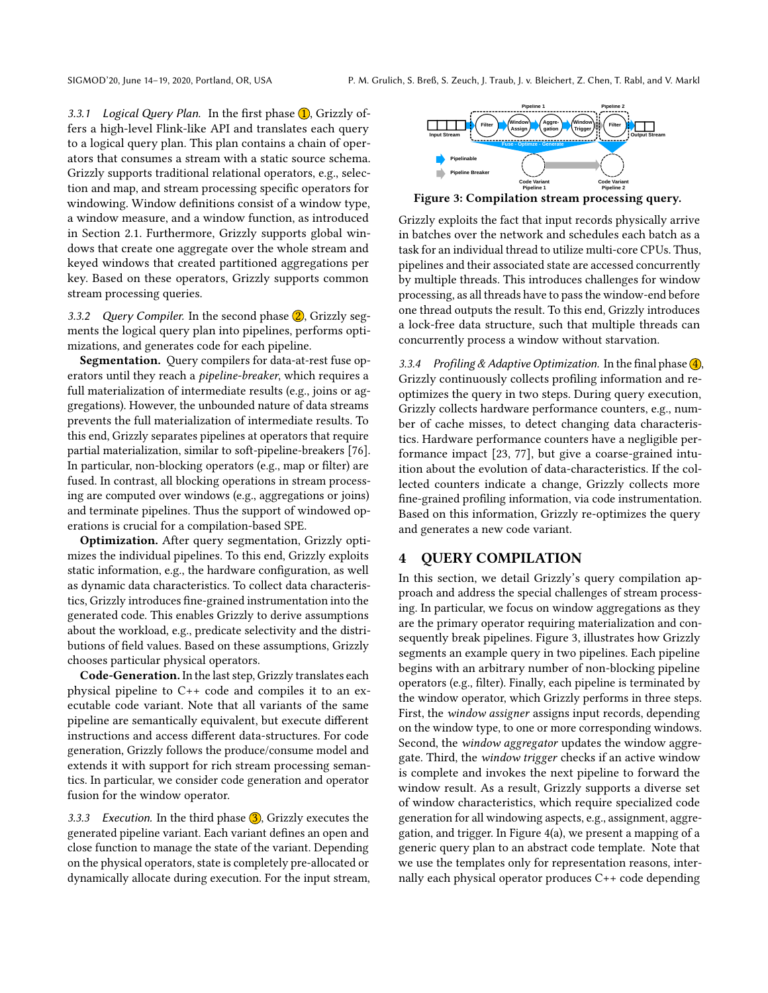3.3.1 Logical Query Plan. In the first phase  $\bigcirc$ , Grizzly offers a high-level Flink-like API and translates each query to a logical query plan. This plan contains a chain of operators that consumes a stream with a static source schema. Grizzly supports traditional relational operators, e.g., selection and map, and stream processing specific operators for windowing. Window definitions consist of a window type, a window measure, and a window function, as introduced in Section [2.1.](#page-1-1) Furthermore, Grizzly supports global windows that create one aggregate over the whole stream and keyed windows that created partitioned aggregations per key. Based on these operators, Grizzly supports common stream processing queries.

3.3.2 Query Compiler. In the second phase  $(2)$ , Grizzly segments the logical query plan into pipelines, performs optimizations, and generates code for each pipeline.

Segmentation. Query compilers for data-at-rest fuse operators until they reach a pipeline-breaker, which requires a full materialization of intermediate results (e.g., joins or aggregations). However, the unbounded nature of data streams prevents the full materialization of intermediate results. To this end, Grizzly separates pipelines at operators that require partial materialization, similar to soft-pipeline-breakers [\[76\]](#page-15-1). In particular, non-blocking operators (e.g., map or filter) are fused. In contrast, all blocking operations in stream processing are computed over windows (e.g., aggregations or joins) and terminate pipelines. Thus the support of windowed operations is crucial for a compilation-based SPE.

Optimization. After query segmentation, Grizzly optimizes the individual pipelines. To this end, Grizzly exploits static information, e.g., the hardware configuration, as well as dynamic data characteristics. To collect data characteristics, Grizzly introduces fine-grained instrumentation into the generated code. This enables Grizzly to derive assumptions about the workload, e.g., predicate selectivity and the distributions of field values. Based on these assumptions, Grizzly chooses particular physical operators.

Code-Generation. In the last step, Grizzly translates each physical pipeline to C++ code and compiles it to an executable code variant. Note that all variants of the same pipeline are semantically equivalent, but execute different instructions and access different data-structures. For code generation, Grizzly follows the produce/consume model and extends it with support for rich stream processing semantics. In particular, we consider code generation and operator fusion for the window operator.

3.3.3 Execution. In the third phase  $\overline{3}$ , Grizzly executes the generated pipeline variant. Each variant defines an open and close function to manage the state of the variant. Depending on the physical operators, state is completely pre-allocated or dynamically allocate during execution. For the input stream,

<span id="page-3-1"></span>

Figure 3: Compilation stream processing query.

Grizzly exploits the fact that input records physically arrive in batches over the network and schedules each batch as a task for an individual thread to utilize multi-core CPUs. Thus, pipelines and their associated state are accessed concurrently by multiple threads. This introduces challenges for window processing, as all threads have to pass the window-end before one thread outputs the result. To this end, Grizzly introduces a lock-free data structure, such that multiple threads can concurrently process a window without starvation.

3.3.4 Profiling & Adaptive Optimization. In the final phase  $\overline{4}$ , Grizzly continuously collects profiling information and reoptimizes the query in two steps. During query execution, Grizzly collects hardware performance counters, e.g., number of cache misses, to detect changing data characteristics. Hardware performance counters have a negligible performance impact [\[23,](#page-14-4) [77\]](#page-15-11), but give a coarse-grained intuition about the evolution of data-characteristics. If the collected counters indicate a change, Grizzly collects more fine-grained profiling information, via code instrumentation. Based on this information, Grizzly re-optimizes the query and generates a new code variant.

# <span id="page-3-0"></span>4 QUERY COMPILATION

In this section, we detail Grizzly's query compilation approach and address the special challenges of stream processing. In particular, we focus on window aggregations as they are the primary operator requiring materialization and consequently break pipelines. Figure [3,](#page-3-1) illustrates how Grizzly segments an example query in two pipelines. Each pipeline begins with an arbitrary number of non-blocking pipeline operators (e.g., filter). Finally, each pipeline is terminated by the window operator, which Grizzly performs in three steps. First, the window assigner assigns input records, depending on the window type, to one or more corresponding windows. Second, the window aggregator updates the window aggregate. Third, the window trigger checks if an active window is complete and invokes the next pipeline to forward the window result. As a result, Grizzly supports a diverse set of window characteristics, which require specialized code generation for all windowing aspects, e.g., assignment, aggregation, and trigger. In Figure [4\(a\),](#page-4-0) we present a mapping of a generic query plan to an abstract code template. Note that we use the templates only for representation reasons, internally each physical operator produces C++ code depending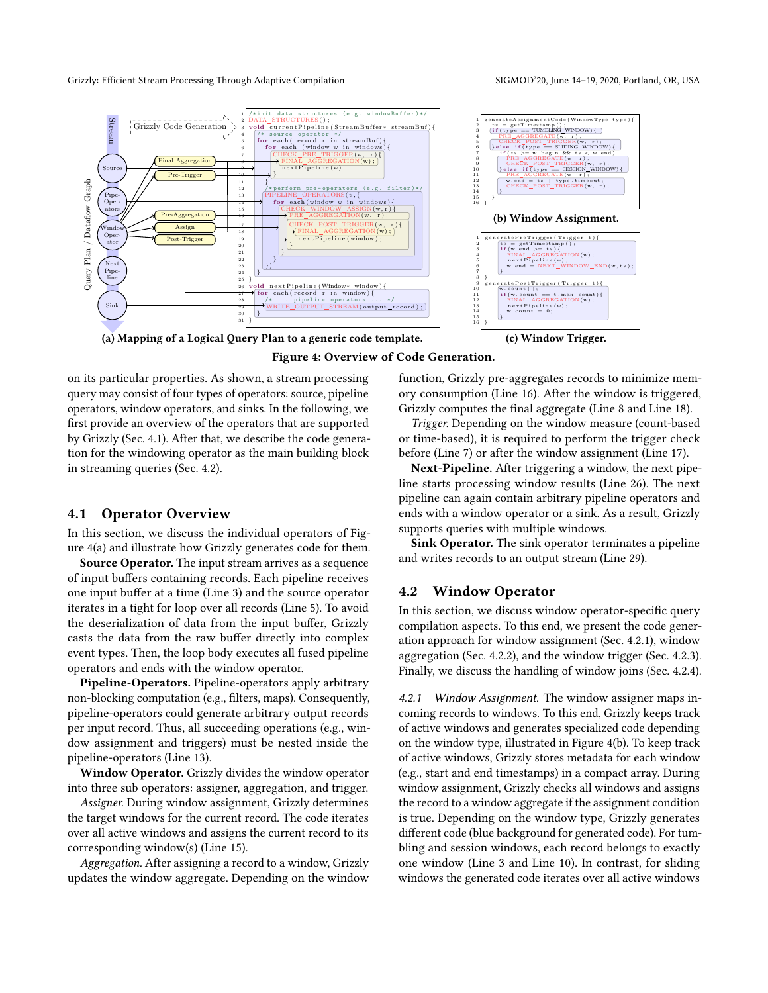<span id="page-4-0"></span>

Figure 4: Overview of Code Generation.

on its particular properties. As shown, a stream processing query may consist of four types of operators: source, pipeline operators, window operators, and sinks. In the following, we first provide an overview of the operators that are supported by Grizzly (Sec. [4.1\)](#page-4-1). After that, we describe the code generation for the windowing operator as the main building block in streaming queries (Sec. [4.2\)](#page-4-2).

#### <span id="page-4-1"></span>4.1 Operator Overview

In this section, we discuss the individual operators of Figure [4\(a\)](#page-4-0) and illustrate how Grizzly generates code for them.

Source Operator. The input stream arrives as a sequence of input buffers containing records. Each pipeline receives one input buffer at a time (Line 3) and the source operator iterates in a tight for loop over all records (Line 5). To avoid the deserialization of data from the input buffer, Grizzly casts the data from the raw buffer directly into complex event types. Then, the loop body executes all fused pipeline operators and ends with the window operator.

Pipeline-Operators. Pipeline-operators apply arbitrary non-blocking computation (e.g., filters, maps). Consequently, pipeline-operators could generate arbitrary output records per input record. Thus, all succeeding operations (e.g., window assignment and triggers) must be nested inside the pipeline-operators (Line 13).

Window Operator. Grizzly divides the window operator into three sub operators: assigner, aggregation, and trigger.

Assigner. During window assignment, Grizzly determines the target windows for the current record. The code iterates over all active windows and assigns the current record to its corresponding window(s) (Line 15).

Aggregation. After assigning a record to a window, Grizzly updates the window aggregate. Depending on the window

function, Grizzly pre-aggregates records to minimize memory consumption (Line 16). After the window is triggered, Grizzly computes the final aggregate (Line 8 and Line 18).

Trigger. Depending on the window measure (count-based or time-based), it is required to perform the trigger check before (Line 7) or after the window assignment (Line 17).

Next-Pipeline. After triggering a window, the next pipeline starts processing window results (Line 26). The next pipeline can again contain arbitrary pipeline operators and ends with a window operator or a sink. As a result, Grizzly supports queries with multiple windows.

Sink Operator. The sink operator terminates a pipeline and writes records to an output stream (Line 29).

#### <span id="page-4-2"></span>4.2 Window Operator

In this section, we discuss window operator-specific query compilation aspects. To this end, we present the code generation approach for window assignment (Sec. [4.2.1\)](#page-4-3), window aggregation (Sec. [4.2.2\)](#page-5-1), and the window trigger (Sec. [4.2.3\)](#page-5-2). Finally, we discuss the handling of window joins (Sec. [4.2.4\)](#page-5-3).

<span id="page-4-3"></span>4.2.1 Window Assignment. The window assigner maps incoming records to windows. To this end, Grizzly keeps track of active windows and generates specialized code depending on the window type, illustrated in Figure [4\(b\).](#page-4-0) To keep track of active windows, Grizzly stores metadata for each window (e.g., start and end timestamps) in a compact array. During window assignment, Grizzly checks all windows and assigns the record to a window aggregate if the assignment condition is true. Depending on the window type, Grizzly generates different code (blue background for generated code). For tumbling and session windows, each record belongs to exactly one window (Line 3 and Line 10). In contrast, for sliding windows the generated code iterates over all active windows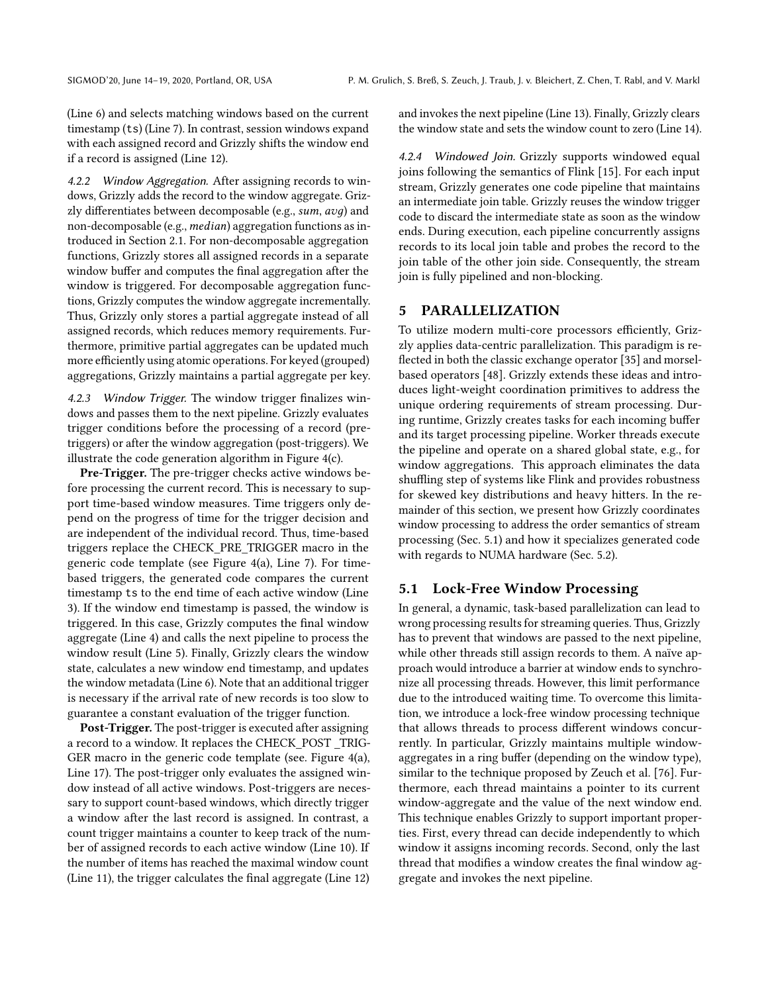(Line 6) and selects matching windows based on the current timestamp (ts) (Line 7). In contrast, session windows expand with each assigned record and Grizzly shifts the window end if a record is assigned (Line 12).

<span id="page-5-1"></span>4.2.2 Window Aggregation. After assigning records to windows, Grizzly adds the record to the window aggregate. Grizzly differentiates between decomposable (e.g., sum, avд) and non-decomposable (e.g., *median*) aggregation functions as introduced in Section [2.1.](#page-1-1) For non-decomposable aggregation functions, Grizzly stores all assigned records in a separate window buffer and computes the final aggregation after the window is triggered. For decomposable aggregation functions, Grizzly computes the window aggregate incrementally. Thus, Grizzly only stores a partial aggregate instead of all assigned records, which reduces memory requirements. Furthermore, primitive partial aggregates can be updated much more efficiently using atomic operations. For keyed (grouped) aggregations, Grizzly maintains a partial aggregate per key.

<span id="page-5-2"></span>4.2.3 Window Trigger. The window trigger finalizes windows and passes them to the next pipeline. Grizzly evaluates trigger conditions before the processing of a record (pretriggers) or after the window aggregation (post-triggers). We illustrate the code generation algorithm in Figure [4\(c\).](#page-4-0)

Pre-Trigger. The pre-trigger checks active windows before processing the current record. This is necessary to support time-based window measures. Time triggers only depend on the progress of time for the trigger decision and are independent of the individual record. Thus, time-based triggers replace the CHECK\_PRE\_TRIGGER macro in the generic code template (see Figure [4\(a\),](#page-4-0) Line 7). For timebased triggers, the generated code compares the current timestamp ts to the end time of each active window (Line 3). If the window end timestamp is passed, the window is triggered. In this case, Grizzly computes the final window aggregate (Line 4) and calls the next pipeline to process the window result (Line 5). Finally, Grizzly clears the window state, calculates a new window end timestamp, and updates the window metadata (Line 6). Note that an additional trigger is necessary if the arrival rate of new records is too slow to guarantee a constant evaluation of the trigger function.

Post-Trigger. The post-trigger is executed after assigning a record to a window. It replaces the CHECK\_POST \_TRIG-GER macro in the generic code template (see. Figure [4\(a\),](#page-4-0) Line 17). The post-trigger only evaluates the assigned window instead of all active windows. Post-triggers are necessary to support count-based windows, which directly trigger a window after the last record is assigned. In contrast, a count trigger maintains a counter to keep track of the number of assigned records to each active window (Line 10). If the number of items has reached the maximal window count (Line 11), the trigger calculates the final aggregate (Line 12)

and invokes the next pipeline (Line 13). Finally, Grizzly clears the window state and sets the window count to zero (Line 14).

<span id="page-5-3"></span>4.2.4 Windowed Join. Grizzly supports windowed equal joins following the semantics of Flink [\[15\]](#page-14-0). For each input stream, Grizzly generates one code pipeline that maintains an intermediate join table. Grizzly reuses the window trigger code to discard the intermediate state as soon as the window ends. During execution, each pipeline concurrently assigns records to its local join table and probes the record to the join table of the other join side. Consequently, the stream join is fully pipelined and non-blocking.

# <span id="page-5-0"></span>5 PARALLELIZATION

To utilize modern multi-core processors efficiently, Grizzly applies data-centric parallelization. This paradigm is reflected in both the classic exchange operator [\[35\]](#page-14-5) and morselbased operators [\[48\]](#page-15-12). Grizzly extends these ideas and introduces light-weight coordination primitives to address the unique ordering requirements of stream processing. During runtime, Grizzly creates tasks for each incoming buffer and its target processing pipeline. Worker threads execute the pipeline and operate on a shared global state, e.g., for window aggregations. This approach eliminates the data shuffling step of systems like Flink and provides robustness for skewed key distributions and heavy hitters. In the remainder of this section, we present how Grizzly coordinates window processing to address the order semantics of stream processing (Sec. [5.1\)](#page-5-4) and how it specializes generated code with regards to NUMA hardware (Sec. [5.2\)](#page-6-1).

#### <span id="page-5-4"></span>5.1 Lock-Free Window Processing

In general, a dynamic, task-based parallelization can lead to wrong processing results for streaming queries. Thus, Grizzly has to prevent that windows are passed to the next pipeline, while other threads still assign records to them. A naïve approach would introduce a barrier at window ends to synchronize all processing threads. However, this limit performance due to the introduced waiting time. To overcome this limitation, we introduce a lock-free window processing technique that allows threads to process different windows concurrently. In particular, Grizzly maintains multiple windowaggregates in a ring buffer (depending on the window type), similar to the technique proposed by Zeuch et al. [\[76\]](#page-15-1). Furthermore, each thread maintains a pointer to its current window-aggregate and the value of the next window end. This technique enables Grizzly to support important properties. First, every thread can decide independently to which window it assigns incoming records. Second, only the last thread that modifies a window creates the final window aggregate and invokes the next pipeline.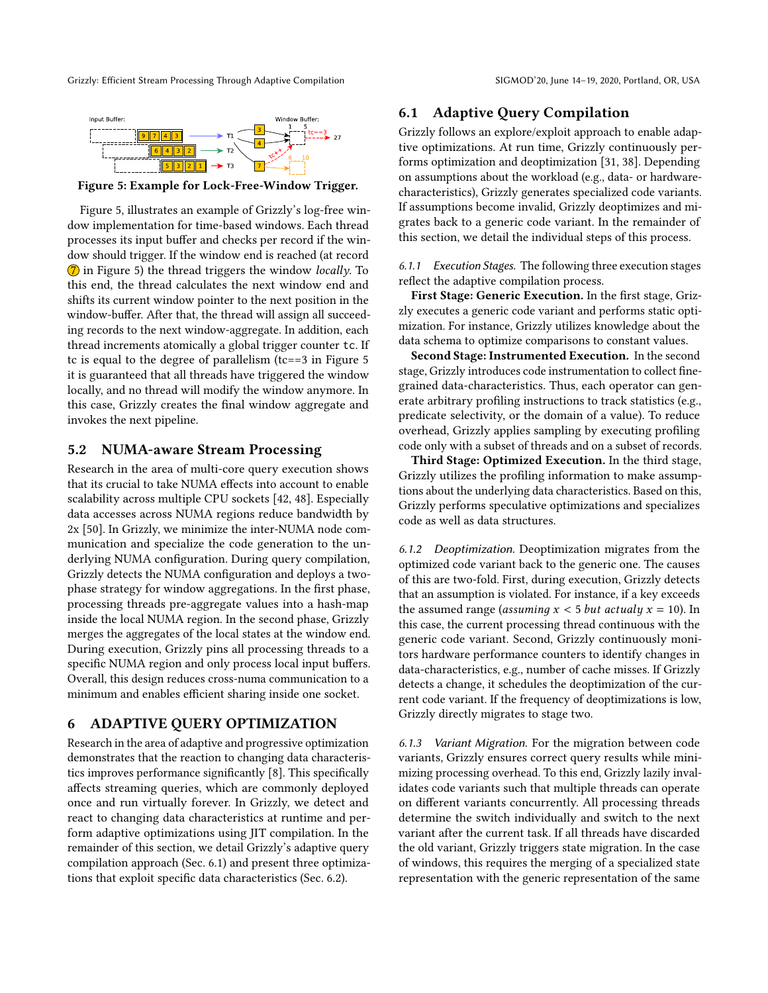<span id="page-6-2"></span>

Figure 5: Example for Lock-Free-Window Trigger.

Figure [5,](#page-6-2) illustrates an example of Grizzly's log-free window implementation for time-based windows. Each thread processes its input buffer and checks per record if the window should trigger. If the window end is reached (at record 7 in Figure [5\)](#page-6-2) the thread triggers the window locally. To this end, the thread calculates the next window end and shifts its current window pointer to the next position in the window-buffer. After that, the thread will assign all succeeding records to the next window-aggregate. In addition, each thread increments atomically a global trigger counter tc. If tc is equal to the degree of parallelism (tc==3 in Figure [5](#page-6-2) it is guaranteed that all threads have triggered the window locally, and no thread will modify the window anymore. In this case, Grizzly creates the final window aggregate and invokes the next pipeline.

## <span id="page-6-1"></span>5.2 NUMA-aware Stream Processing

Research in the area of multi-core query execution shows that its crucial to take NUMA effects into account to enable scalability across multiple CPU sockets [\[42,](#page-15-13) [48\]](#page-15-12). Especially data accesses across NUMA regions reduce bandwidth by 2x [\[50\]](#page-15-14). In Grizzly, we minimize the inter-NUMA node communication and specialize the code generation to the underlying NUMA configuration. During query compilation, Grizzly detects the NUMA configuration and deploys a twophase strategy for window aggregations. In the first phase, processing threads pre-aggregate values into a hash-map inside the local NUMA region. In the second phase, Grizzly merges the aggregates of the local states at the window end. During execution, Grizzly pins all processing threads to a specific NUMA region and only process local input buffers. Overall, this design reduces cross-numa communication to a minimum and enables efficient sharing inside one socket.

# <span id="page-6-0"></span>6 ADAPTIVE QUERY OPTIMIZATION

Research in the area of adaptive and progressive optimization demonstrates that the reaction to changing data characteristics improves performance significantly [\[8\]](#page-14-6). This specifically affects streaming queries, which are commonly deployed once and run virtually forever. In Grizzly, we detect and react to changing data characteristics at runtime and perform adaptive optimizations using JIT compilation. In the remainder of this section, we detail Grizzly's adaptive query compilation approach (Sec. [6.1\)](#page-6-3) and present three optimizations that exploit specific data characteristics (Sec. [6.2\)](#page-7-1).

#### <span id="page-6-3"></span>6.1 Adaptive Query Compilation

Grizzly follows an explore/exploit approach to enable adaptive optimizations. At run time, Grizzly continuously performs optimization and deoptimization [\[31,](#page-14-7) [38\]](#page-15-15). Depending on assumptions about the workload (e.g., data- or hardwarecharacteristics), Grizzly generates specialized code variants. If assumptions become invalid, Grizzly deoptimizes and migrates back to a generic code variant. In the remainder of this section, we detail the individual steps of this process.

6.1.1 Execution Stages. The following three execution stages reflect the adaptive compilation process.

First Stage: Generic Execution. In the first stage, Grizzly executes a generic code variant and performs static optimization. For instance, Grizzly utilizes knowledge about the data schema to optimize comparisons to constant values.

Second Stage: Instrumented Execution. In the second stage, Grizzly introduces code instrumentation to collect finegrained data-characteristics. Thus, each operator can generate arbitrary profiling instructions to track statistics (e.g., predicate selectivity, or the domain of a value). To reduce overhead, Grizzly applies sampling by executing profiling code only with a subset of threads and on a subset of records.

Third Stage: Optimized Execution. In the third stage, Grizzly utilizes the profiling information to make assumptions about the underlying data characteristics. Based on this, Grizzly performs speculative optimizations and specializes code as well as data structures.

6.1.2 Deoptimization. Deoptimization migrates from the optimized code variant back to the generic one. The causes of this are two-fold. First, during execution, Grizzly detects that an assumption is violated. For instance, if a key exceeds the assumed range (assuming  $x < 5$  but actualy  $x = 10$ ). In this case, the current processing thread continuous with the generic code variant. Second, Grizzly continuously monitors hardware performance counters to identify changes in data-characteristics, e.g., number of cache misses. If Grizzly detects a change, it schedules the deoptimization of the current code variant. If the frequency of deoptimizations is low, Grizzly directly migrates to stage two.

6.1.3 Variant Migration. For the migration between code variants, Grizzly ensures correct query results while minimizing processing overhead. To this end, Grizzly lazily invalidates code variants such that multiple threads can operate on different variants concurrently. All processing threads determine the switch individually and switch to the next variant after the current task. If all threads have discarded the old variant, Grizzly triggers state migration. In the case of windows, this requires the merging of a specialized state representation with the generic representation of the same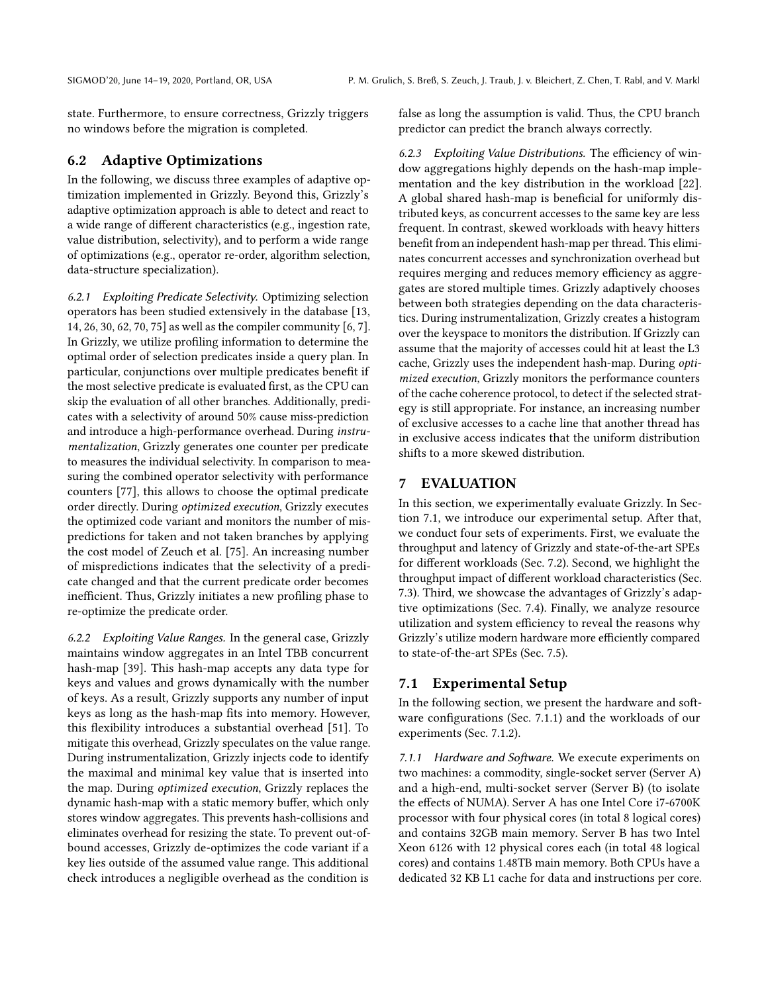state. Furthermore, to ensure correctness, Grizzly triggers no windows before the migration is completed.

#### <span id="page-7-1"></span>6.2 Adaptive Optimizations

In the following, we discuss three examples of adaptive optimization implemented in Grizzly. Beyond this, Grizzly's adaptive optimization approach is able to detect and react to a wide range of different characteristics (e.g., ingestion rate, value distribution, selectivity), and to perform a wide range of optimizations (e.g., operator re-order, algorithm selection, data-structure specialization).

<span id="page-7-4"></span>6.2.1 Exploiting Predicate Selectivity. Optimizing selection operators has been studied extensively in the database [\[13,](#page-14-8) [14,](#page-14-9) [26,](#page-14-10) [30,](#page-14-11) [62,](#page-15-16) [70,](#page-15-17) [75\]](#page-15-18) as well as the compiler community [\[6,](#page-14-12) [7\]](#page-14-13). In Grizzly, we utilize profiling information to determine the optimal order of selection predicates inside a query plan. In particular, conjunctions over multiple predicates benefit if the most selective predicate is evaluated first, as the CPU can skip the evaluation of all other branches. Additionally, predicates with a selectivity of around 50% cause miss-prediction and introduce a high-performance overhead. During instrumentalization, Grizzly generates one counter per predicate to measures the individual selectivity. In comparison to measuring the combined operator selectivity with performance counters [\[77\]](#page-15-11), this allows to choose the optimal predicate order directly. During optimized execution, Grizzly executes the optimized code variant and monitors the number of mispredictions for taken and not taken branches by applying the cost model of Zeuch et al. [\[75\]](#page-15-18). An increasing number of mispredictions indicates that the selectivity of a predicate changed and that the current predicate order becomes inefficient. Thus, Grizzly initiates a new profiling phase to re-optimize the predicate order.

6.2.2 Exploiting Value Ranges. In the general case, Grizzly maintains window aggregates in an Intel TBB concurrent hash-map [\[39\]](#page-15-19). This hash-map accepts any data type for keys and values and grows dynamically with the number of keys. As a result, Grizzly supports any number of input keys as long as the hash-map fits into memory. However, this flexibility introduces a substantial overhead [\[51\]](#page-15-20). To mitigate this overhead, Grizzly speculates on the value range. During instrumentalization, Grizzly injects code to identify the maximal and minimal key value that is inserted into the map. During optimized execution, Grizzly replaces the dynamic hash-map with a static memory buffer, which only stores window aggregates. This prevents hash-collisions and eliminates overhead for resizing the state. To prevent out-ofbound accesses, Grizzly de-optimizes the code variant if a key lies outside of the assumed value range. This additional check introduces a negligible overhead as the condition is

false as long the assumption is valid. Thus, the CPU branch predictor can predict the branch always correctly.

<span id="page-7-5"></span>6.2.3 Exploiting Value Distributions. The efficiency of window aggregations highly depends on the hash-map implementation and the key distribution in the workload [\[22\]](#page-14-14). A global shared hash-map is beneficial for uniformly distributed keys, as concurrent accesses to the same key are less frequent. In contrast, skewed workloads with heavy hitters benefit from an independent hash-map per thread. This eliminates concurrent accesses and synchronization overhead but requires merging and reduces memory efficiency as aggregates are stored multiple times. Grizzly adaptively chooses between both strategies depending on the data characteristics. During instrumentalization, Grizzly creates a histogram over the keyspace to monitors the distribution. If Grizzly can assume that the majority of accesses could hit at least the L3 cache, Grizzly uses the independent hash-map. During optimized execution, Grizzly monitors the performance counters of the cache coherence protocol, to detect if the selected strategy is still appropriate. For instance, an increasing number of exclusive accesses to a cache line that another thread has in exclusive access indicates that the uniform distribution shifts to a more skewed distribution.

# <span id="page-7-0"></span>7 EVALUATION

In this section, we experimentally evaluate Grizzly. In Section [7.1,](#page-7-2) we introduce our experimental setup. After that, we conduct four sets of experiments. First, we evaluate the throughput and latency of Grizzly and state-of-the-art SPEs for different workloads (Sec. [7.2\)](#page-8-0). Second, we highlight the throughput impact of different workload characteristics (Sec. [7.3\)](#page-10-0). Third, we showcase the advantages of Grizzly's adaptive optimizations (Sec. [7.4\)](#page-11-0). Finally, we analyze resource utilization and system efficiency to reveal the reasons why Grizzly's utilize modern hardware more efficiently compared to state-of-the-art SPEs (Sec. [7.5\)](#page-12-0).

# <span id="page-7-2"></span>7.1 Experimental Setup

In the following section, we present the hardware and software configurations (Sec. [7.1.1\)](#page-7-3) and the workloads of our experiments (Sec. [7.1.2\)](#page-8-1).

<span id="page-7-3"></span>7.1.1 Hardware and Software. We execute experiments on two machines: a commodity, single-socket server (Server A) and a high-end, multi-socket server (Server B) (to isolate the effects of NUMA). Server A has one Intel Core i7-6700K processor with four physical cores (in total 8 logical cores) and contains 32GB main memory. Server B has two Intel Xeon 6126 with 12 physical cores each (in total 48 logical cores) and contains 1.48TB main memory. Both CPUs have a dedicated 32 KB L1 cache for data and instructions per core.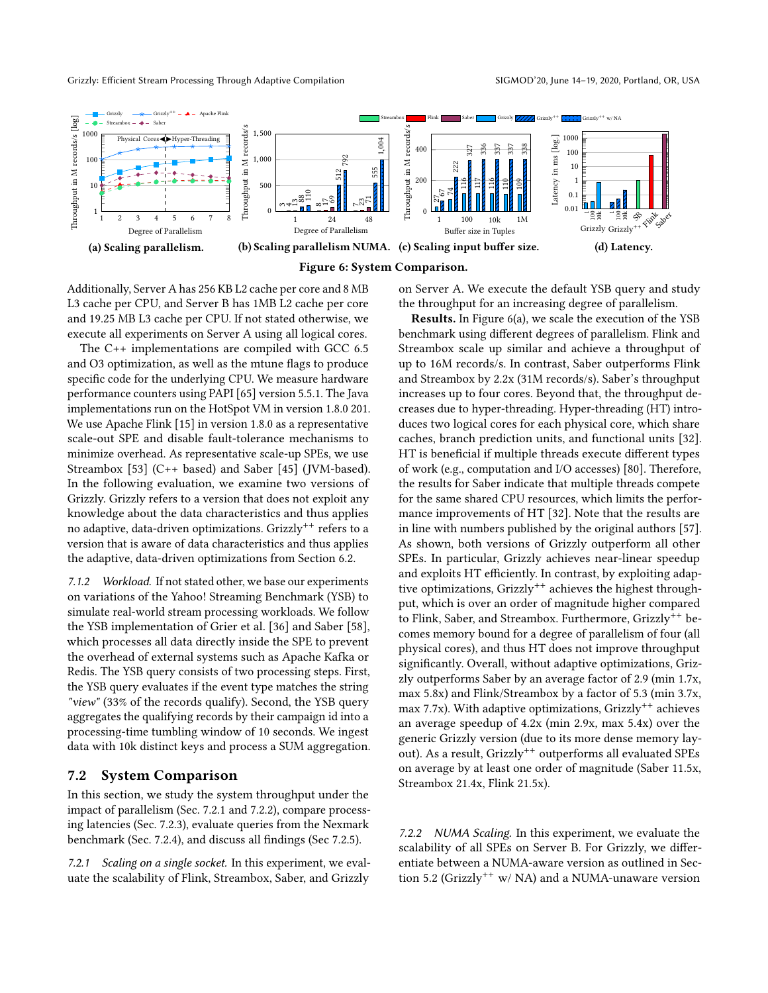<span id="page-8-4"></span>



Additionally, Server A has 256 KB L2 cache per core and 8 MB L3 cache per CPU, and Server B has 1MB L2 cache per core and 19.25 MB L3 cache per CPU. If not stated otherwise, we execute all experiments on Server A using all logical cores.

The C++ implementations are compiled with GCC 6.5 and O3 optimization, as well as the mtune flags to produce specific code for the underlying CPU. We measure hardware performance counters using PAPI [\[65\]](#page-15-21) version 5.5.1. The Java implementations run on the HotSpot VM in version 1.8.0 201. We use Apache Flink [\[15\]](#page-14-0) in version 1.8.0 as a representative scale-out SPE and disable fault-tolerance mechanisms to minimize overhead. As representative scale-up SPEs, we use Streambox [\[53\]](#page-15-5) (C++ based) and Saber [\[45\]](#page-15-4) (JVM-based). In the following evaluation, we examine two versions of Grizzly. Grizzly refers to a version that does not exploit any knowledge about the data characteristics and thus applies no adaptive, data-driven optimizations. Grizzly<sup>++</sup> refers to a version that is aware of data characteristics and thus applies the adaptive, data-driven optimizations from Section [6.2.](#page-7-1)

<span id="page-8-1"></span>7.1.2 Workload. If not stated other, we base our experiments on variations of the Yahoo! Streaming Benchmark (YSB) to simulate real-world stream processing workloads. We follow the YSB implementation of Grier et al. [\[36\]](#page-14-15) and Saber [\[58\]](#page-15-22), which processes all data directly inside the SPE to prevent the overhead of external systems such as Apache Kafka or Redis. The YSB query consists of two processing steps. First, the YSB query evaluates if the event type matches the string "view" (33% of the records qualify). Second, the YSB query aggregates the qualifying records by their campaign id into a processing-time tumbling window of 10 seconds. We ingest data with 10k distinct keys and process a SUM aggregation.

# <span id="page-8-0"></span>7.2 System Comparison

In this section, we study the system throughput under the impact of parallelism (Sec. [7.2.1](#page-8-2) and [7.2.2\)](#page-8-3), compare processing latencies (Sec. [7.2.3\)](#page-9-0), evaluate queries from the Nexmark benchmark (Sec. [7.2.4\)](#page-9-1), and discuss all findings (Sec [7.2.5\)](#page-9-2).

<span id="page-8-2"></span>7.2.1 Scaling on a single socket. In this experiment, we evaluate the scalability of Flink, Streambox, Saber, and Grizzly

on Server A. We execute the default YSB query and study the throughput for an increasing degree of parallelism.

Results. In Figure [6\(a\),](#page-8-4) we scale the execution of the YSB benchmark using different degrees of parallelism. Flink and Streambox scale up similar and achieve a throughput of up to 16M records/s. In contrast, Saber outperforms Flink and Streambox by 2.2x (31M records/s). Saber's throughput increases up to four cores. Beyond that, the throughput decreases due to hyper-threading. Hyper-threading (HT) introduces two logical cores for each physical core, which share caches, branch prediction units, and functional units [\[32\]](#page-14-16). HT is beneficial if multiple threads execute different types of work (e.g., computation and I/O accesses) [\[80\]](#page-16-1). Therefore, the results for Saber indicate that multiple threads compete for the same shared CPU resources, which limits the performance improvements of HT [\[32\]](#page-14-16). Note that the results are in line with numbers published by the original authors [\[57\]](#page-15-23). As shown, both versions of Grizzly outperform all other SPEs. In particular, Grizzly achieves near-linear speedup and exploits HT efficiently. In contrast, by exploiting adaptive optimizations, Grizzly<sup>++</sup> achieves the highest throughput, which is over an order of magnitude higher compared to Flink, Saber, and Streambox. Furthermore, Grizzly<sup>++</sup> becomes memory bound for a degree of parallelism of four (all physical cores), and thus HT does not improve throughput significantly. Overall, without adaptive optimizations, Grizzly outperforms Saber by an average factor of 2.9 (min 1.7x, max 5.8x) and Flink/Streambox by a factor of 5.3 (min 3.7x, max 7.7x). With adaptive optimizations,  $Grizzly^{++}$  achieves an average speedup of 4.2x (min 2.9x, max 5.4x) over the generic Grizzly version (due to its more dense memory layout). As a result, Grizzly<sup>++</sup> outperforms all evaluated SPEs on average by at least one order of magnitude (Saber 11.5x, Streambox 21.4x, Flink 21.5x).

<span id="page-8-3"></span>7.2.2 NUMA Scaling. In this experiment, we evaluate the scalability of all SPEs on Server B. For Grizzly, we differentiate between a NUMA-aware version as outlined in Sec-tion [5.2](#page-6-1) (Grizzly<sup>++</sup> w/ NA) and a NUMA-unaware version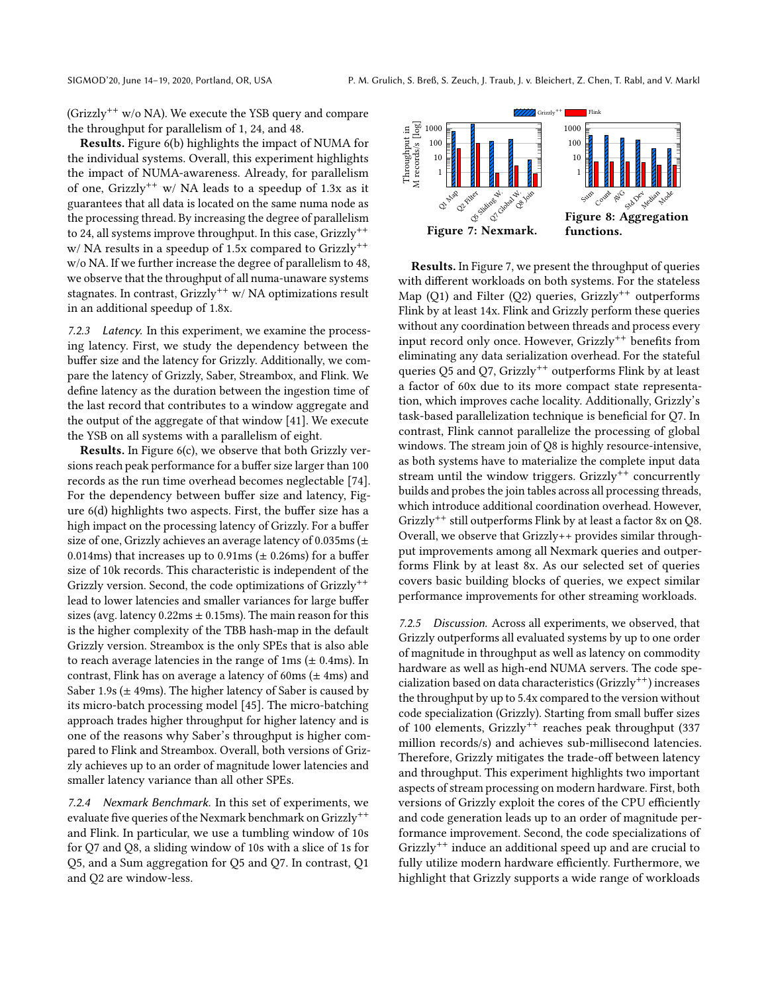(Grizzly<sup>++</sup> w/o NA). We execute the YSB query and compare the throughput for parallelism of 1, 24, and 48.

Results. Figure [6\(b\)](#page-8-4) highlights the impact of NUMA for the individual systems. Overall, this experiment highlights the impact of NUMA-awareness. Already, for parallelism of one, Grizzly<sup>++</sup> w/ NA leads to a speedup of 1.3x as it guarantees that all data is located on the same numa node as the processing thread. By increasing the degree of parallelism to 24, all systems improve throughput. In this case, Grizzly<sup>++</sup>  $w/NA$  results in a speedup of 1.5x compared to Grizzly<sup>++</sup> w/o NA. If we further increase the degree of parallelism to 48, we observe that the throughput of all numa-unaware systems stagnates. In contrast, Grizzly<sup>++</sup> w/ NA optimizations result in an additional speedup of 1.8x.

<span id="page-9-0"></span>7.2.3 Latency. In this experiment, we examine the processing latency. First, we study the dependency between the buffer size and the latency for Grizzly. Additionally, we compare the latency of Grizzly, Saber, Streambox, and Flink. We define latency as the duration between the ingestion time of the last record that contributes to a window aggregate and the output of the aggregate of that window [\[41\]](#page-15-24). We execute the YSB on all systems with a parallelism of eight.

Results. In Figure [6\(c\),](#page-8-4) we observe that both Grizzly versions reach peak performance for a buffer size larger than 100 records as the run time overhead becomes neglectable [\[74\]](#page-15-25). For the dependency between buffer size and latency, Figure [6\(d\)](#page-8-4) highlights two aspects. First, the buffer size has a high impact on the processing latency of Grizzly. For a buffer size of one, Grizzly achieves an average latency of 0.035ms ( $\pm$ 0.014ms) that increases up to 0.91ms ( $\pm$  0.26ms) for a buffer size of 10k records. This characteristic is independent of the Grizzly version. Second, the code optimizations of Grizzly<sup>++</sup> lead to lower latencies and smaller variances for large buffer sizes (avg. latency  $0.22 \text{ms} \pm 0.15 \text{ms}$ ). The main reason for this is the higher complexity of the TBB hash-map in the default Grizzly version. Streambox is the only SPEs that is also able to reach average latencies in the range of  $1 \text{ms} (\pm 0.4 \text{ms})$ . In contrast, Flink has on average a latency of 60ms  $(\pm 4 \text{ms})$  and Saber 1.9s ( $\pm$  49ms). The higher latency of Saber is caused by its micro-batch processing model [\[45\]](#page-15-4). The micro-batching approach trades higher throughput for higher latency and is one of the reasons why Saber's throughput is higher compared to Flink and Streambox. Overall, both versions of Grizzly achieves up to an order of magnitude lower latencies and smaller latency variance than all other SPEs.

<span id="page-9-1"></span>7.2.4 Nexmark Benchmark. In this set of experiments, we evaluate five queries of the Nexmark benchmark on Grizzly<sup>++</sup> and Flink. In particular, we use a tumbling window of 10s for Q7 and Q8, a sliding window of 10s with a slice of 1s for Q5, and a Sum aggregation for Q5 and Q7. In contrast, Q1 and Q2 are window-less.

<span id="page-9-3"></span>

Results. In Figure [7,](#page-9-3) we present the throughput of queries with different workloads on both systems. For the stateless Map (Q1) and Filter (Q2) queries, Grizzly<sup>++</sup> outperforms Flink by at least 14x. Flink and Grizzly perform these queries without any coordination between threads and process every input record only once. However,  $Grizzly^{++}$  benefits from eliminating any data serialization overhead. For the stateful queries Q5 and Q7, Grizzly<sup>++</sup> outperforms Flink by at least a factor of 60x due to its more compact state representation, which improves cache locality. Additionally, Grizzly's task-based parallelization technique is beneficial for Q7. In contrast, Flink cannot parallelize the processing of global windows. The stream join of Q8 is highly resource-intensive, as both systems have to materialize the complete input data stream until the window triggers. Grizzly<sup>++</sup> concurrently builds and probes the join tables across all processing threads, which introduce additional coordination overhead. However, Grizzly++ still outperforms Flink by at least a factor 8x on Q8. Overall, we observe that Grizzly++ provides similar throughput improvements among all Nexmark queries and outperforms Flink by at least 8x. As our selected set of queries covers basic building blocks of queries, we expect similar performance improvements for other streaming workloads.

<span id="page-9-2"></span>7.2.5 Discussion. Across all experiments, we observed, that Grizzly outperforms all evaluated systems by up to one order of magnitude in throughput as well as latency on commodity hardware as well as high-end NUMA servers. The code specialization based on data characteristics (Grizzly++) increases the throughput by up to 5.4x compared to the version without code specialization (Grizzly). Starting from small buffer sizes of 100 elements, Grizzly<sup>++</sup> reaches peak throughput (337 million records/s) and achieves sub-millisecond latencies. Therefore, Grizzly mitigates the trade-off between latency and throughput. This experiment highlights two important aspects of stream processing on modern hardware. First, both versions of Grizzly exploit the cores of the CPU efficiently and code generation leads up to an order of magnitude performance improvement. Second, the code specializations of Grizzly++ induce an additional speed up and are crucial to fully utilize modern hardware efficiently. Furthermore, we highlight that Grizzly supports a wide range of workloads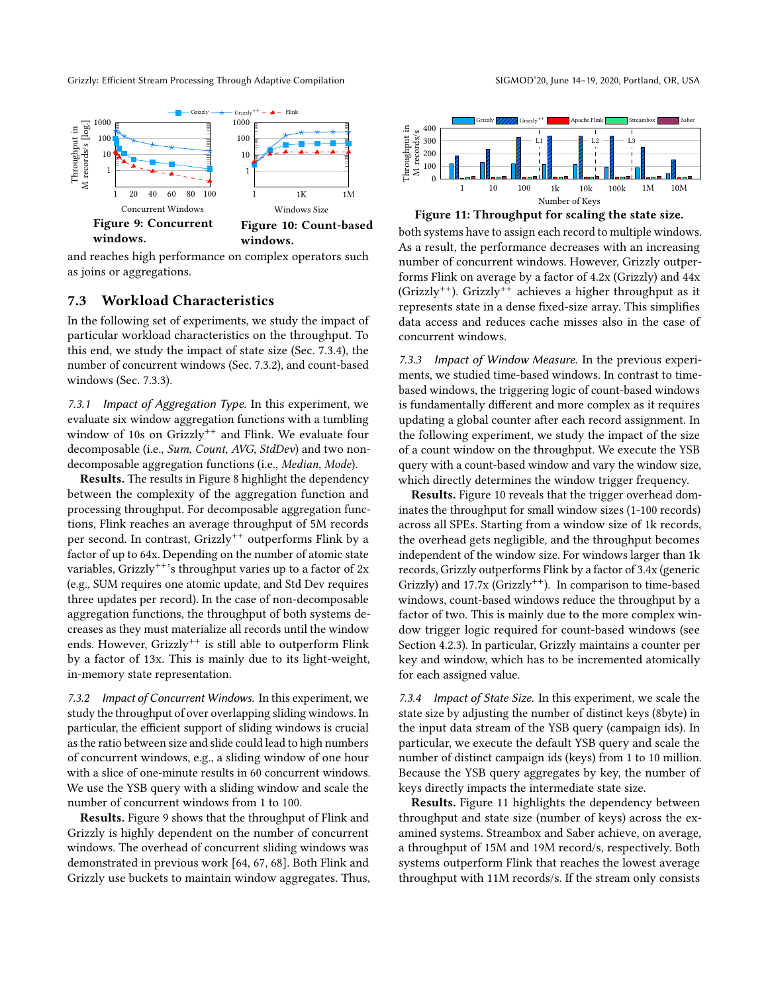Grizzly: Efficient Stream Processing Through Adaptive Compilation

<span id="page-10-4"></span>

and reaches high performance on complex operators such as joins or aggregations.

## <span id="page-10-0"></span>7.3 Workload Characteristics

In the following set of experiments, we study the impact of particular workload characteristics on the throughput. To this end, we study the impact of state size (Sec. [7.3.4\)](#page-10-1), the number of concurrent windows (Sec. [7.3.2\)](#page-10-2), and count-based windows (Sec. [7.3.3\)](#page-10-3).

7.3.1 Impact of Aggregation Type. In this experiment, we evaluate six window aggregation functions with a tumbling window of 10s on Grizzly<sup>++</sup> and Flink. We evaluate four decomposable (i.e., Sum, Count, AVG, StdDev) and two nondecomposable aggregation functions (i.e., Median, Mode).

Results. The results in Figure [8](#page-9-3) highlight the dependency between the complexity of the aggregation function and processing throughput. For decomposable aggregation functions, Flink reaches an average throughput of 5M records per second. In contrast, Grizzly<sup>++</sup> outperforms Flink by a factor of up to 64x. Depending on the number of atomic state variables, Grizzly<sup>++</sup>'s throughput varies up to a factor of  $2x$ (e.g., SUM requires one atomic update, and Std Dev requires three updates per record). In the case of non-decomposable aggregation functions, the throughput of both systems decreases as they must materialize all records until the window ends. However, Grizzly<sup>++</sup> is still able to outperform Flink by a factor of 13x. This is mainly due to its light-weight, in-memory state representation.

<span id="page-10-2"></span>7.3.2 Impact of Concurrent Windows. In this experiment, we study the throughput of over overlapping sliding windows. In particular, the efficient support of sliding windows is crucial as the ratio between size and slide could lead to high numbers of concurrent windows, e.g., a sliding window of one hour with a slice of one-minute results in 60 concurrent windows. We use the YSB query with a sliding window and scale the number of concurrent windows from 1 to 100.

Results. Figure [9](#page-10-4) shows that the throughput of Flink and Grizzly is highly dependent on the number of concurrent windows. The overhead of concurrent sliding windows was demonstrated in previous work [\[64,](#page-15-26) [67,](#page-15-27) [68\]](#page-15-6). Both Flink and Grizzly use buckets to maintain window aggregates. Thus,



<span id="page-10-5"></span>



both systems have to assign each record to multiple windows. As a result, the performance decreases with an increasing number of concurrent windows. However, Grizzly outperforms Flink on average by a factor of 4.2x (Grizzly) and 44x (Grizzly++). Grizzly++ achieves a higher throughput as it represents state in a dense fixed-size array. This simplifies data access and reduces cache misses also in the case of concurrent windows.

<span id="page-10-3"></span>7.3.3 Impact of Window Measure. In the previous experiments, we studied time-based windows. In contrast to timebased windows, the triggering logic of count-based windows is fundamentally different and more complex as it requires updating a global counter after each record assignment. In the following experiment, we study the impact of the size of a count window on the throughput. We execute the YSB query with a count-based window and vary the window size, which directly determines the window trigger frequency.

Results. Figure [10](#page-10-4) reveals that the trigger overhead dominates the throughput for small window sizes (1-100 records) across all SPEs. Starting from a window size of 1k records, the overhead gets negligible, and the throughput becomes independent of the window size. For windows larger than 1k records, Grizzly outperforms Flink by a factor of 3.4x (generic Grizzly) and  $17.7x$  (Grizzly<sup>++</sup>). In comparison to time-based windows, count-based windows reduce the throughput by a factor of two. This is mainly due to the more complex window trigger logic required for count-based windows (see Section [4.2.3\)](#page-5-2). In particular, Grizzly maintains a counter per key and window, which has to be incremented atomically for each assigned value.

<span id="page-10-1"></span>7.3.4 Impact of State Size. In this experiment, we scale the state size by adjusting the number of distinct keys (8byte) in the input data stream of the YSB query (campaign ids). In particular, we execute the default YSB query and scale the number of distinct campaign ids (keys) from 1 to 10 million. Because the YSB query aggregates by key, the number of keys directly impacts the intermediate state size.

Results. Figure [11](#page-10-5) highlights the dependency between throughput and state size (number of keys) across the examined systems. Streambox and Saber achieve, on average, a throughput of 15M and 19M record/s, respectively. Both systems outperform Flink that reaches the lowest average throughput with 11M records/s. If the stream only consists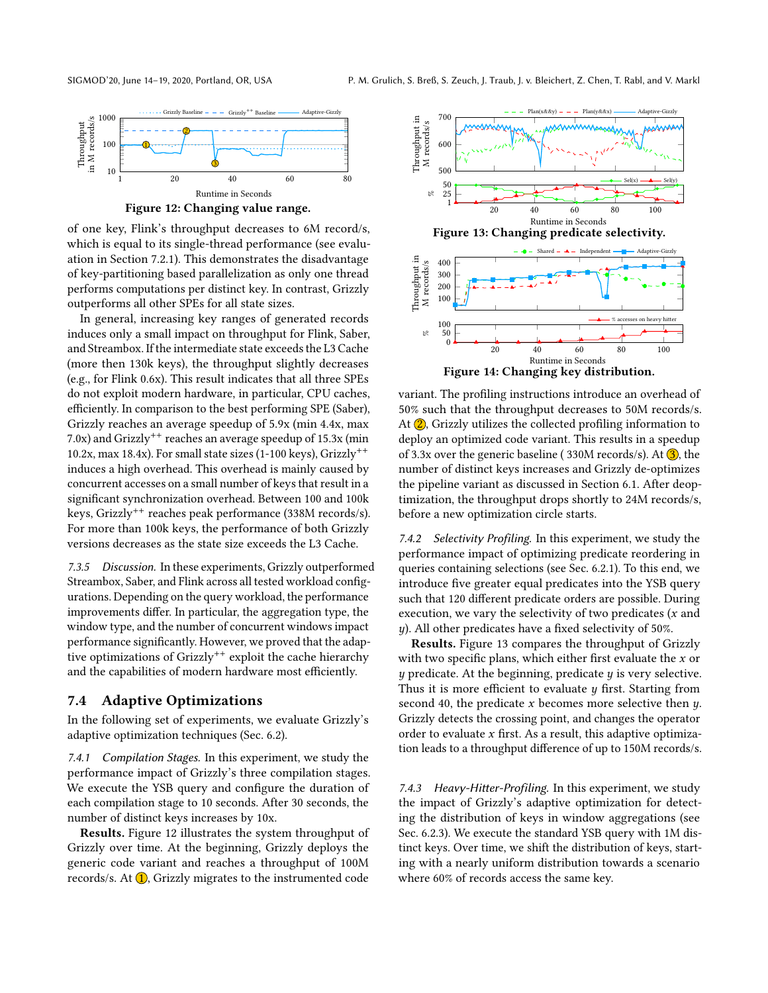<span id="page-11-1"></span>

Figure 12: Changing value range.

of one key, Flink's throughput decreases to 6M record/s, which is equal to its single-thread performance (see evaluation in Section [7.2.1\)](#page-8-2). This demonstrates the disadvantage of key-partitioning based parallelization as only one thread performs computations per distinct key. In contrast, Grizzly outperforms all other SPEs for all state sizes.

In general, increasing key ranges of generated records induces only a small impact on throughput for Flink, Saber, and Streambox. If the intermediate state exceeds the L3 Cache (more then 130k keys), the throughput slightly decreases (e.g., for Flink 0.6x). This result indicates that all three SPEs do not exploit modern hardware, in particular, CPU caches, efficiently. In comparison to the best performing SPE (Saber), Grizzly reaches an average speedup of 5.9x (min 4.4x, max 7.0x) and Grizzly<sup>++</sup> reaches an average speedup of  $15.3x$  (min 10.2x, max 18.4x). For small state sizes (1-100 keys),  $Grizzly^{++}$ induces a high overhead. This overhead is mainly caused by concurrent accesses on a small number of keys that result in a significant synchronization overhead. Between 100 and 100k keys, Grizzly<sup>++</sup> reaches peak performance (338M records/s). For more than 100k keys, the performance of both Grizzly versions decreases as the state size exceeds the L3 Cache.

7.3.5 Discussion. In these experiments, Grizzly outperformed Streambox, Saber, and Flink across all tested workload configurations. Depending on the query workload, the performance improvements differ. In particular, the aggregation type, the window type, and the number of concurrent windows impact performance significantly. However, we proved that the adaptive optimizations of Grizzly<sup>++</sup> exploit the cache hierarchy and the capabilities of modern hardware most efficiently.

# <span id="page-11-0"></span>7.4 Adaptive Optimizations

In the following set of experiments, we evaluate Grizzly's adaptive optimization techniques (Sec. [6.2\)](#page-7-1).

7.4.1 Compilation Stages. In this experiment, we study the performance impact of Grizzly's three compilation stages. We execute the YSB query and configure the duration of each compilation stage to 10 seconds. After 30 seconds, the number of distinct keys increases by 10x.

Results. Figure [12](#page-11-1) illustrates the system throughput of Grizzly over time. At the beginning, Grizzly deploys the generic code variant and reaches a throughput of 100M records/s. At  $(1)$ , Grizzly migrates to the instrumented code

<span id="page-11-2"></span>

variant. The profiling instructions introduce an overhead of 50% such that the throughput decreases to 50M records/s. At  $(2)$ , Grizzly utilizes the collected profiling information to deploy an optimized code variant. This results in a speedup of 3.3x over the generic baseline (330M records/s). At  $\overline{3}$ , the number of distinct keys increases and Grizzly de-optimizes the pipeline variant as discussed in Section [6.1.](#page-6-3) After deoptimization, the throughput drops shortly to 24M records/s, before a new optimization circle starts.

7.4.2 Selectivity Profiling. In this experiment, we study the performance impact of optimizing predicate reordering in queries containing selections (see Sec. [6.2.1\)](#page-7-4). To this end, we introduce five greater equal predicates into the YSB query such that 120 different predicate orders are possible. During execution, we vary the selectivity of two predicates  $(x \text{ and } y \text{)}$  $y$ ). All other predicates have a fixed selectivity of 50%.

Results. Figure [13](#page-11-2) compares the throughput of Grizzly with two specific plans, which either first evaluate the  $x$  or  $y$  predicate. At the beginning, predicate  $y$  is very selective. Thus it is more efficient to evaluate  $y$  first. Starting from second 40, the predicate  $x$  becomes more selective then  $y$ . Grizzly detects the crossing point, and changes the operator order to evaluate  $x$  first. As a result, this adaptive optimization leads to a throughput difference of up to 150M records/s.

7.4.3 Heavy-Hitter-Profiling. In this experiment, we study the impact of Grizzly's adaptive optimization for detecting the distribution of keys in window aggregations (see Sec. [6.2.3\)](#page-7-5). We execute the standard YSB query with 1M distinct keys. Over time, we shift the distribution of keys, starting with a nearly uniform distribution towards a scenario where 60% of records access the same key.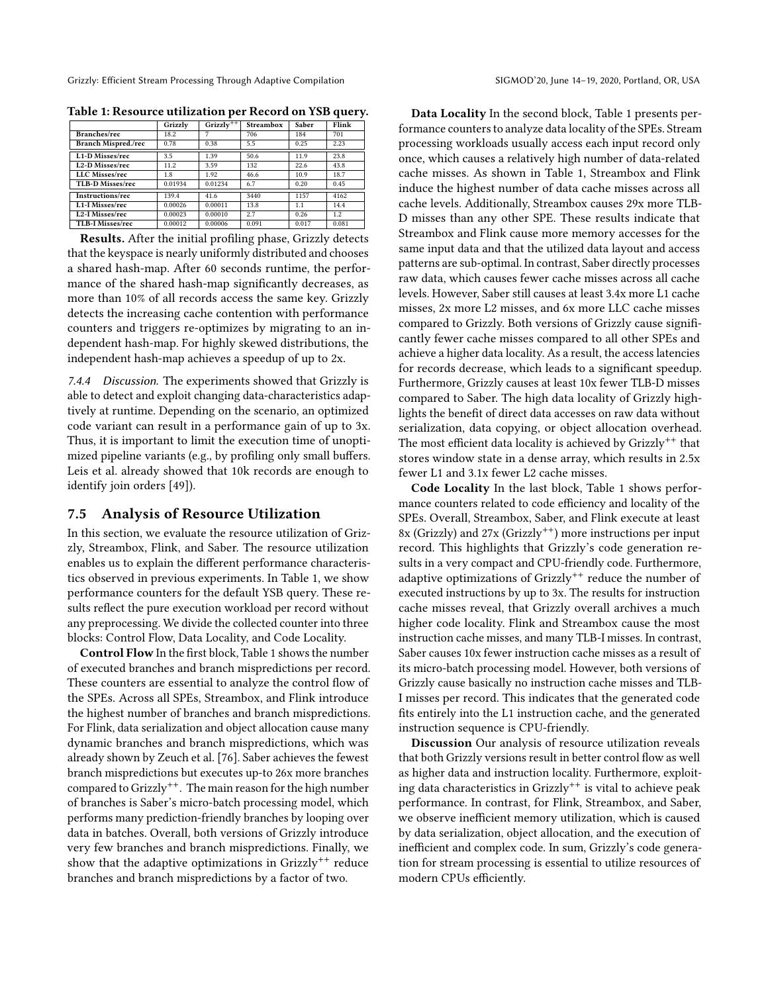|                              | Grizzly | Grizzly <sup><math>++</math></sup> | <b>Streambox</b> | <b>Saber</b> | Flink         |  |
|------------------------------|---------|------------------------------------|------------------|--------------|---------------|--|
| Branches/rec                 | 18.2    |                                    | 706              | 184          | 701           |  |
| <b>Branch Mispred./rec</b>   | 0.78    | 0.38                               | 5.5              | 0.25         | 2.23          |  |
| L1-D Misses/rec              | 3.5     | 1.39                               | 50.6             | 11.9         | 23.8          |  |
| L <sub>2</sub> -D Misses/rec | 11.2    | 3.59                               | 132              | 22.6         | 43.8          |  |
| LLC Misses/rec               | 1.8     | 1.92                               | 46.6             | 10.9         | 18.7          |  |
| TLB-D Misses/rec             | 0.01934 | 0.01234                            | 6.7              | 0.20         | 0.45          |  |
| Instructions/rec             | 139.4   | 41.6                               | 3440             | 1157         | 4162          |  |
| L <sub>1</sub> -I Misses/rec | 0.00026 | 0.00011                            | 13.8             | 1.1          | 14.4          |  |
| L2-I Misses/rec              | 0.00023 | 0.00010                            | 2.7              | 0.26         | $1.2^{\circ}$ |  |
| TLB-I Misses/rec             | 0.00012 | 0.00006                            | 0.091            | 0.017        | 0.081         |  |

<span id="page-12-1"></span>Table 1: Resource utilization per Record on YSB query.

Results. After the initial profiling phase, Grizzly detects that the keyspace is nearly uniformly distributed and chooses a shared hash-map. After 60 seconds runtime, the performance of the shared hash-map significantly decreases, as more than 10% of all records access the same key. Grizzly detects the increasing cache contention with performance counters and triggers re-optimizes by migrating to an independent hash-map. For highly skewed distributions, the independent hash-map achieves a speedup of up to 2x.

7.4.4 Discussion. The experiments showed that Grizzly is able to detect and exploit changing data-characteristics adaptively at runtime. Depending on the scenario, an optimized code variant can result in a performance gain of up to 3x. Thus, it is important to limit the execution time of unoptimized pipeline variants (e.g., by profiling only small buffers. Leis et al. already showed that 10k records are enough to identify join orders [\[49\]](#page-15-28)).

# <span id="page-12-0"></span>7.5 Analysis of Resource Utilization

In this section, we evaluate the resource utilization of Grizzly, Streambox, Flink, and Saber. The resource utilization enables us to explain the different performance characteristics observed in previous experiments. In Table [1,](#page-12-1) we show performance counters for the default YSB query. These results reflect the pure execution workload per record without any preprocessing. We divide the collected counter into three blocks: Control Flow, Data Locality, and Code Locality.

Control Flow In the first block, Table [1](#page-12-1) shows the number of executed branches and branch mispredictions per record. These counters are essential to analyze the control flow of the SPEs. Across all SPEs, Streambox, and Flink introduce the highest number of branches and branch mispredictions. For Flink, data serialization and object allocation cause many dynamic branches and branch mispredictions, which was already shown by Zeuch et al. [\[76\]](#page-15-1). Saber achieves the fewest branch mispredictions but executes up-to 26x more branches compared to Grizzly++. The main reason for the high number of branches is Saber's micro-batch processing model, which performs many prediction-friendly branches by looping over data in batches. Overall, both versions of Grizzly introduce very few branches and branch mispredictions. Finally, we show that the adaptive optimizations in Grizzly<sup>++</sup> reduce branches and branch mispredictions by a factor of two.

Data Locality In the second block, Table [1](#page-12-1) presents performance counters to analyze data locality of the SPEs. Stream processing workloads usually access each input record only once, which causes a relatively high number of data-related cache misses. As shown in Table [1,](#page-12-1) Streambox and Flink induce the highest number of data cache misses across all cache levels. Additionally, Streambox causes 29x more TLB-D misses than any other SPE. These results indicate that Streambox and Flink cause more memory accesses for the same input data and that the utilized data layout and access patterns are sub-optimal. In contrast, Saber directly processes raw data, which causes fewer cache misses across all cache levels. However, Saber still causes at least 3.4x more L1 cache misses, 2x more L2 misses, and 6x more LLC cache misses compared to Grizzly. Both versions of Grizzly cause significantly fewer cache misses compared to all other SPEs and achieve a higher data locality. As a result, the access latencies for records decrease, which leads to a significant speedup. Furthermore, Grizzly causes at least 10x fewer TLB-D misses compared to Saber. The high data locality of Grizzly highlights the benefit of direct data accesses on raw data without serialization, data copying, or object allocation overhead. The most efficient data locality is achieved by  $Grizzly^{++}$  that stores window state in a dense array, which results in 2.5x fewer L1 and 3.1x fewer L2 cache misses.

Code Locality In the last block, Table [1](#page-12-1) shows performance counters related to code efficiency and locality of the SPEs. Overall, Streambox, Saber, and Flink execute at least 8x (Grizzly) and  $27x$  (Grizzly<sup>++</sup>) more instructions per input record. This highlights that Grizzly's code generation results in a very compact and CPU-friendly code. Furthermore, adaptive optimizations of Grizzly<sup>++</sup> reduce the number of executed instructions by up to 3x. The results for instruction cache misses reveal, that Grizzly overall archives a much higher code locality. Flink and Streambox cause the most instruction cache misses, and many TLB-I misses. In contrast, Saber causes 10x fewer instruction cache misses as a result of its micro-batch processing model. However, both versions of Grizzly cause basically no instruction cache misses and TLB-I misses per record. This indicates that the generated code fits entirely into the L1 instruction cache, and the generated instruction sequence is CPU-friendly.

Discussion Our analysis of resource utilization reveals that both Grizzly versions result in better control flow as well as higher data and instruction locality. Furthermore, exploiting data characteristics in Grizzly++ is vital to achieve peak performance. In contrast, for Flink, Streambox, and Saber, we observe inefficient memory utilization, which is caused by data serialization, object allocation, and the execution of inefficient and complex code. In sum, Grizzly's code generation for stream processing is essential to utilize resources of modern CPUs efficiently.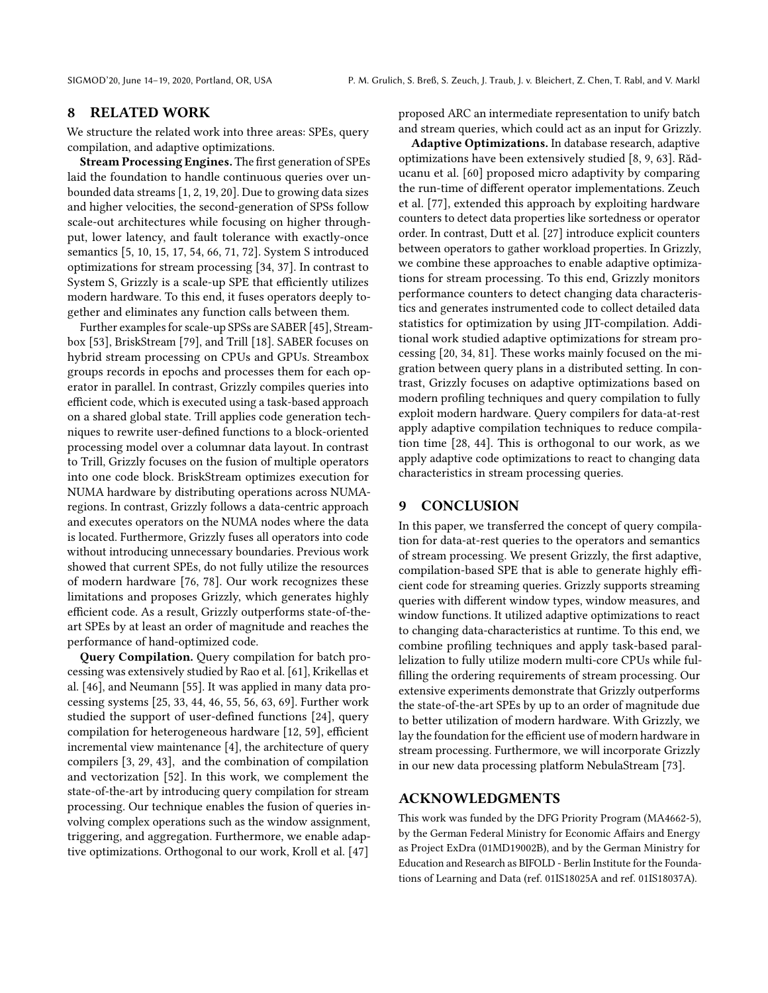# <span id="page-13-0"></span>8 RELATED WORK

We structure the related work into three areas: SPEs, query compilation, and adaptive optimizations.

Stream Processing Engines. The first generation of SPEs laid the foundation to handle continuous queries over unbounded data streams [\[1,](#page-14-17) [2,](#page-14-18) [19,](#page-14-19) [20\]](#page-14-20). Due to growing data sizes and higher velocities, the second-generation of SPSs follow scale-out architectures while focusing on higher throughput, lower latency, and fault tolerance with exactly-once semantics [\[5,](#page-14-21) [10,](#page-14-22) [15,](#page-14-0) [17,](#page-14-23) [54,](#page-15-29) [66,](#page-15-0) [71,](#page-15-30) [72\]](#page-15-31). System S introduced optimizations for stream processing [\[34,](#page-14-24) [37\]](#page-15-32). In contrast to System S, Grizzly is a scale-up SPE that efficiently utilizes modern hardware. To this end, it fuses operators deeply together and eliminates any function calls between them.

Further examples for scale-up SPSs are SABER [\[45\]](#page-15-4), Streambox [\[53\]](#page-15-5), BriskStream [\[79\]](#page-16-2), and Trill [\[18\]](#page-14-25). SABER focuses on hybrid stream processing on CPUs and GPUs. Streambox groups records in epochs and processes them for each operator in parallel. In contrast, Grizzly compiles queries into efficient code, which is executed using a task-based approach on a shared global state. Trill applies code generation techniques to rewrite user-defined functions to a block-oriented processing model over a columnar data layout. In contrast to Trill, Grizzly focuses on the fusion of multiple operators into one code block. BriskStream optimizes execution for NUMA hardware by distributing operations across NUMAregions. In contrast, Grizzly follows a data-centric approach and executes operators on the NUMA nodes where the data is located. Furthermore, Grizzly fuses all operators into code without introducing unnecessary boundaries. Previous work showed that current SPEs, do not fully utilize the resources of modern hardware [\[76,](#page-15-1) [78\]](#page-15-2). Our work recognizes these limitations and proposes Grizzly, which generates highly efficient code. As a result, Grizzly outperforms state-of-theart SPEs by at least an order of magnitude and reaches the performance of hand-optimized code.

Query Compilation. Query compilation for batch processing was extensively studied by Rao et al. [\[61\]](#page-15-9), Krikellas et al. [\[46\]](#page-15-8), and Neumann [\[55\]](#page-15-3). It was applied in many data processing systems [\[25,](#page-14-26) [33,](#page-14-27) [44,](#page-15-10) [46,](#page-15-8) [55,](#page-15-3) [56,](#page-15-33) [63,](#page-15-34) [69\]](#page-15-35). Further work studied the support of user-defined functions [\[24\]](#page-14-28), query compilation for heterogeneous hardware [\[12,](#page-14-29) [59\]](#page-15-36), efficient incremental view maintenance [\[4\]](#page-14-30), the architecture of query compilers [\[3,](#page-14-31) [29,](#page-14-32) [43\]](#page-15-37), and the combination of compilation and vectorization [\[52\]](#page-15-38). In this work, we complement the state-of-the-art by introducing query compilation for stream processing. Our technique enables the fusion of queries involving complex operations such as the window assignment, triggering, and aggregation. Furthermore, we enable adaptive optimizations. Orthogonal to our work, Kroll et al. [\[47\]](#page-15-39)

proposed ARC an intermediate representation to unify batch and stream queries, which could act as an input for Grizzly.

Adaptive Optimizations. In database research, adaptive optimizations have been extensively studied [\[8,](#page-14-6) [9,](#page-14-33) [63\]](#page-15-34). Răducanu et al. [\[60\]](#page-15-40) proposed micro adaptivity by comparing the run-time of different operator implementations. Zeuch et al. [\[77\]](#page-15-11), extended this approach by exploiting hardware counters to detect data properties like sortedness or operator order. In contrast, Dutt et al. [\[27\]](#page-14-34) introduce explicit counters between operators to gather workload properties. In Grizzly, we combine these approaches to enable adaptive optimizations for stream processing. To this end, Grizzly monitors performance counters to detect changing data characteristics and generates instrumented code to collect detailed data statistics for optimization by using JIT-compilation. Additional work studied adaptive optimizations for stream processing [\[20,](#page-14-20) [34,](#page-14-24) [81\]](#page-16-3). These works mainly focused on the migration between query plans in a distributed setting. In contrast, Grizzly focuses on adaptive optimizations based on modern profiling techniques and query compilation to fully exploit modern hardware. Query compilers for data-at-rest apply adaptive compilation techniques to reduce compilation time [\[28,](#page-14-35) [44\]](#page-15-10). This is orthogonal to our work, as we apply adaptive code optimizations to react to changing data characteristics in stream processing queries.

# 9 CONCLUSION

In this paper, we transferred the concept of query compilation for data-at-rest queries to the operators and semantics of stream processing. We present Grizzly, the first adaptive, compilation-based SPE that is able to generate highly efficient code for streaming queries. Grizzly supports streaming queries with different window types, window measures, and window functions. It utilized adaptive optimizations to react to changing data-characteristics at runtime. To this end, we combine profiling techniques and apply task-based parallelization to fully utilize modern multi-core CPUs while fulfilling the ordering requirements of stream processing. Our extensive experiments demonstrate that Grizzly outperforms the state-of-the-art SPEs by up to an order of magnitude due to better utilization of modern hardware. With Grizzly, we lay the foundation for the efficient use of modern hardware in stream processing. Furthermore, we will incorporate Grizzly in our new data processing platform NebulaStream [\[73\]](#page-15-41).

# ACKNOWLEDGMENTS

This work was funded by the DFG Priority Program (MA4662-5), by the German Federal Ministry for Economic Affairs and Energy as Project ExDra (01MD19002B), and by the German Ministry for Education and Research as BIFOLD - Berlin Institute for the Foundations of Learning and Data (ref. 01IS18025A and ref. 01IS18037A).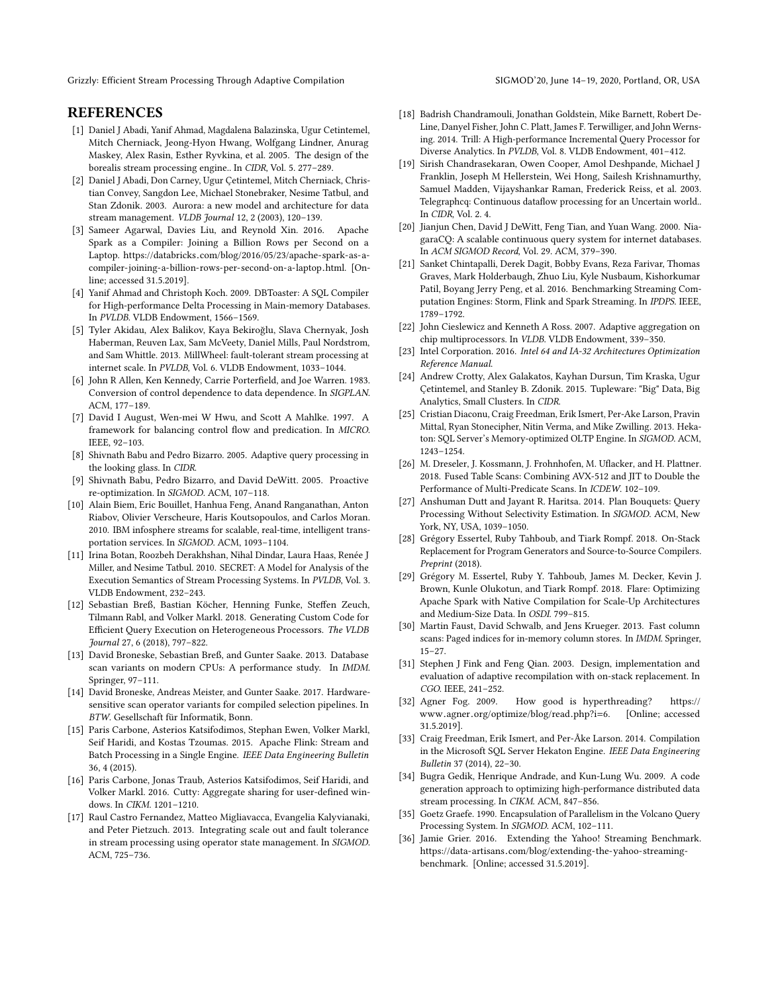# **REFERENCES**

- <span id="page-14-17"></span>[1] Daniel J Abadi, Yanif Ahmad, Magdalena Balazinska, Ugur Cetintemel, Mitch Cherniack, Jeong-Hyon Hwang, Wolfgang Lindner, Anurag Maskey, Alex Rasin, Esther Ryvkina, et al. 2005. The design of the borealis stream processing engine.. In CIDR, Vol. 5. 277–289.
- <span id="page-14-18"></span>[2] Daniel J Abadi, Don Carney, Ugur Çetintemel, Mitch Cherniack, Christian Convey, Sangdon Lee, Michael Stonebraker, Nesime Tatbul, and Stan Zdonik. 2003. Aurora: a new model and architecture for data stream management. VLDB Journal 12, 2 (2003), 120–139.
- <span id="page-14-31"></span>[3] Sameer Agarwal, Davies Liu, and Reynold Xin. 2016. Apache Spark as a Compiler: Joining a Billion Rows per Second on a Laptop. https://databricks.[com/blog/2016/05/23/apache-spark-as-a](https://databricks.com/blog/2016/05/23/apache-spark-as-a-compiler-joining-a-billion-rows-per-second-on-a-laptop.html)[compiler-joining-a-billion-rows-per-second-on-a-laptop](https://databricks.com/blog/2016/05/23/apache-spark-as-a-compiler-joining-a-billion-rows-per-second-on-a-laptop.html).html. [Online; accessed 31.5.2019].
- <span id="page-14-30"></span>[4] Yanif Ahmad and Christoph Koch. 2009. DBToaster: A SQL Compiler for High-performance Delta Processing in Main-memory Databases. In PVLDB. VLDB Endowment, 1566–1569.
- <span id="page-14-21"></span>[5] Tyler Akidau, Alex Balikov, Kaya Bekiroğlu, Slava Chernyak, Josh Haberman, Reuven Lax, Sam McVeety, Daniel Mills, Paul Nordstrom, and Sam Whittle. 2013. MillWheel: fault-tolerant stream processing at internet scale. In PVLDB, Vol. 6. VLDB Endowment, 1033–1044.
- <span id="page-14-12"></span>[6] John R Allen, Ken Kennedy, Carrie Porterfield, and Joe Warren. 1983. Conversion of control dependence to data dependence. In SIGPLAN. ACM, 177–189.
- <span id="page-14-13"></span>[7] David I August, Wen-mei W Hwu, and Scott A Mahlke. 1997. A framework for balancing control flow and predication. In MICRO. IEEE, 92–103.
- <span id="page-14-6"></span>[8] Shivnath Babu and Pedro Bizarro. 2005. Adaptive query processing in the looking glass. In CIDR.
- <span id="page-14-33"></span>[9] Shivnath Babu, Pedro Bizarro, and David DeWitt. 2005. Proactive re-optimization. In SIGMOD. ACM, 107–118.
- <span id="page-14-22"></span>[10] Alain Biem, Eric Bouillet, Hanhua Feng, Anand Ranganathan, Anton Riabov, Olivier Verscheure, Haris Koutsopoulos, and Carlos Moran. 2010. IBM infosphere streams for scalable, real-time, intelligent transportation services. In SIGMOD. ACM, 1093–1104.
- <span id="page-14-2"></span>[11] Irina Botan, Roozbeh Derakhshan, Nihal Dindar, Laura Haas, Renée J Miller, and Nesime Tatbul. 2010. SECRET: A Model for Analysis of the Execution Semantics of Stream Processing Systems. In PVLDB, Vol. 3. VLDB Endowment, 232–243.
- <span id="page-14-29"></span>[12] Sebastian Breß, Bastian Köcher, Henning Funke, Steffen Zeuch, Tilmann Rabl, and Volker Markl. 2018. Generating Custom Code for Efficient Query Execution on Heterogeneous Processors. The VLDB Journal 27, 6 (2018), 797–822.
- <span id="page-14-8"></span>[13] David Broneske, Sebastian Breß, and Gunter Saake. 2013. Database scan variants on modern CPUs: A performance study. In IMDM. Springer, 97–111.
- <span id="page-14-9"></span>[14] David Broneske, Andreas Meister, and Gunter Saake. 2017. Hardwaresensitive scan operator variants for compiled selection pipelines. In BTW. Gesellschaft für Informatik, Bonn.
- <span id="page-14-0"></span>[15] Paris Carbone, Asterios Katsifodimos, Stephan Ewen, Volker Markl, Seif Haridi, and Kostas Tzoumas. 2015. Apache Flink: Stream and Batch Processing in a Single Engine. IEEE Data Engineering Bulletin 36, 4 (2015).
- <span id="page-14-3"></span>[16] Paris Carbone, Jonas Traub, Asterios Katsifodimos, Seif Haridi, and Volker Markl. 2016. Cutty: Aggregate sharing for user-defined windows. In CIKM. 1201–1210.
- <span id="page-14-23"></span>[17] Raul Castro Fernandez, Matteo Migliavacca, Evangelia Kalyvianaki, and Peter Pietzuch. 2013. Integrating scale out and fault tolerance in stream processing using operator state management. In SIGMOD. ACM, 725–736.
- <span id="page-14-25"></span>[18] Badrish Chandramouli, Jonathan Goldstein, Mike Barnett, Robert De-Line, Danyel Fisher, John C. Platt, James F. Terwilliger, and John Wernsing. 2014. Trill: A High-performance Incremental Query Processor for Diverse Analytics. In PVLDB, Vol. 8. VLDB Endowment, 401–412.
- <span id="page-14-19"></span>[19] Sirish Chandrasekaran, Owen Cooper, Amol Deshpande, Michael J Franklin, Joseph M Hellerstein, Wei Hong, Sailesh Krishnamurthy, Samuel Madden, Vijayshankar Raman, Frederick Reiss, et al. 2003. Telegraphcq: Continuous dataflow processing for an Uncertain world.. In CIDR, Vol. 2. 4.
- <span id="page-14-20"></span>[20] Jianjun Chen, David J DeWitt, Feng Tian, and Yuan Wang. 2000. NiagaraCQ: A scalable continuous query system for internet databases. In ACM SIGMOD Record, Vol. 29. ACM, 379–390.
- <span id="page-14-1"></span>[21] Sanket Chintapalli, Derek Dagit, Bobby Evans, Reza Farivar, Thomas Graves, Mark Holderbaugh, Zhuo Liu, Kyle Nusbaum, Kishorkumar Patil, Boyang Jerry Peng, et al. 2016. Benchmarking Streaming Computation Engines: Storm, Flink and Spark Streaming. In IPDPS. IEEE, 1789–1792.
- <span id="page-14-14"></span>[22] John Cieslewicz and Kenneth A Ross. 2007. Adaptive aggregation on chip multiprocessors. In VLDB. VLDB Endowment, 339–350.
- <span id="page-14-4"></span>[23] Intel Corporation. 2016. Intel 64 and IA-32 Architectures Optimization Reference Manual.
- <span id="page-14-28"></span>[24] Andrew Crotty, Alex Galakatos, Kayhan Dursun, Tim Kraska, Ugur Çetintemel, and Stanley B. Zdonik. 2015. Tupleware: "Big" Data, Big Analytics, Small Clusters. In CIDR.
- <span id="page-14-26"></span>[25] Cristian Diaconu, Craig Freedman, Erik Ismert, Per-Ake Larson, Pravin Mittal, Ryan Stonecipher, Nitin Verma, and Mike Zwilling. 2013. Hekaton: SQL Server's Memory-optimized OLTP Engine. In SIGMOD. ACM, 1243–1254.
- <span id="page-14-10"></span>[26] M. Dreseler, J. Kossmann, J. Frohnhofen, M. Uflacker, and H. Plattner. 2018. Fused Table Scans: Combining AVX-512 and JIT to Double the Performance of Multi-Predicate Scans. In ICDEW. 102–109.
- <span id="page-14-34"></span>[27] Anshuman Dutt and Jayant R. Haritsa. 2014. Plan Bouquets: Query Processing Without Selectivity Estimation. In SIGMOD. ACM, New York, NY, USA, 1039–1050.
- <span id="page-14-35"></span>[28] Grégory Essertel, Ruby Tahboub, and Tiark Rompf. 2018. On-Stack Replacement for Program Generators and Source-to-Source Compilers. Preprint (2018).
- <span id="page-14-32"></span>[29] Grégory M. Essertel, Ruby Y. Tahboub, James M. Decker, Kevin J. Brown, Kunle Olukotun, and Tiark Rompf. 2018. Flare: Optimizing Apache Spark with Native Compilation for Scale-Up Architectures and Medium-Size Data. In OSDI. 799–815.
- <span id="page-14-11"></span>[30] Martin Faust, David Schwalb, and Jens Krueger. 2013. Fast column scans: Paged indices for in-memory column stores. In IMDM. Springer, 15–27.
- <span id="page-14-7"></span>[31] Stephen J Fink and Feng Qian. 2003. Design, implementation and evaluation of adaptive recompilation with on-stack replacement. In CGO. IEEE, 241–252.
- <span id="page-14-16"></span>[32] Agner Fog. 2009. How good is hyperthreading? [https://](https://www.agner.org/optimize/blog/read.php?i=6) www.agner.[org/optimize/blog/read](https://www.agner.org/optimize/blog/read.php?i=6).php?i=6. [Online; accessed 31.5.2019].
- <span id="page-14-27"></span>[33] Craig Freedman, Erik Ismert, and Per-Åke Larson. 2014. Compilation in the Microsoft SQL Server Hekaton Engine. IEEE Data Engineering Bulletin 37 (2014), 22–30.
- <span id="page-14-24"></span>[34] Bugra Gedik, Henrique Andrade, and Kun-Lung Wu. 2009. A code generation approach to optimizing high-performance distributed data stream processing. In CIKM. ACM, 847–856.
- <span id="page-14-5"></span>[35] Goetz Graefe. 1990. Encapsulation of Parallelism in the Volcano Query Processing System. In SIGMOD. ACM, 102–111.
- <span id="page-14-15"></span>[36] Jamie Grier. 2016. Extending the Yahoo! Streaming Benchmark. https://data-artisans.[com/blog/extending-the-yahoo-streaming](https://data-artisans.com/blog/extending-the-yahoo-streaming-benchmark)[benchmark.](https://data-artisans.com/blog/extending-the-yahoo-streaming-benchmark) [Online; accessed 31.5.2019].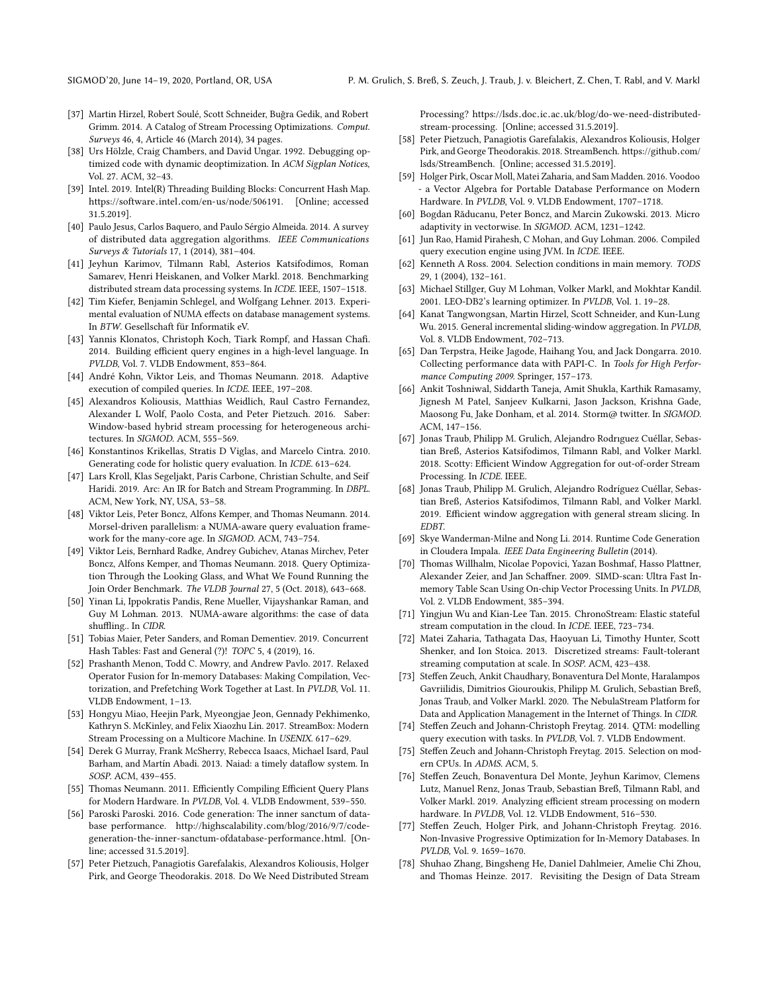- <span id="page-15-32"></span>[37] Martin Hirzel, Robert Soulé, Scott Schneider, Buğra Gedik, and Robert Grimm. 2014. A Catalog of Stream Processing Optimizations. Comput. Surveys 46, 4, Article 46 (March 2014), 34 pages.
- <span id="page-15-15"></span>[38] Urs Hölzle, Craig Chambers, and David Ungar. 1992. Debugging optimized code with dynamic deoptimization. In ACM Sigplan Notices, Vol. 27. ACM, 32–43.
- <span id="page-15-19"></span>[39] Intel. 2019. Intel(R) Threading Building Blocks: Concurrent Hash Map. https://software.intel.[com/en-us/node/506191.](https://software.intel.com/en-us/node/506191) [Online; accessed 31.5.2019].
- <span id="page-15-7"></span>[40] Paulo Jesus, Carlos Baquero, and Paulo Sérgio Almeida. 2014. A survey of distributed data aggregation algorithms. IEEE Communications Surveys & Tutorials 17, 1 (2014), 381–404.
- <span id="page-15-24"></span>[41] Jeyhun Karimov, Tilmann Rabl, Asterios Katsifodimos, Roman Samarev, Henri Heiskanen, and Volker Markl. 2018. Benchmarking distributed stream data processing systems. In ICDE. IEEE, 1507–1518.
- <span id="page-15-13"></span>[42] Tim Kiefer, Benjamin Schlegel, and Wolfgang Lehner. 2013. Experimental evaluation of NUMA effects on database management systems. In BTW. Gesellschaft für Informatik eV.
- <span id="page-15-37"></span>[43] Yannis Klonatos, Christoph Koch, Tiark Rompf, and Hassan Chafi. 2014. Building efficient query engines in a high-level language. In PVLDB, Vol. 7. VLDB Endowment, 853–864.
- <span id="page-15-10"></span>[44] André Kohn, Viktor Leis, and Thomas Neumann. 2018. Adaptive execution of compiled queries. In ICDE. IEEE, 197–208.
- <span id="page-15-4"></span>[45] Alexandros Koliousis, Matthias Weidlich, Raul Castro Fernandez, Alexander L Wolf, Paolo Costa, and Peter Pietzuch. 2016. Saber: Window-based hybrid stream processing for heterogeneous architectures. In SIGMOD. ACM, 555–569.
- <span id="page-15-8"></span>[46] Konstantinos Krikellas, Stratis D Viglas, and Marcelo Cintra. 2010. Generating code for holistic query evaluation. In ICDE. 613–624.
- <span id="page-15-39"></span>[47] Lars Kroll, Klas Segeljakt, Paris Carbone, Christian Schulte, and Seif Haridi. 2019. Arc: An IR for Batch and Stream Programming. In DBPL. ACM, New York, NY, USA, 53–58.
- <span id="page-15-12"></span>[48] Viktor Leis, Peter Boncz, Alfons Kemper, and Thomas Neumann. 2014. Morsel-driven parallelism: a NUMA-aware query evaluation framework for the many-core age. In SIGMOD. ACM, 743–754.
- <span id="page-15-28"></span>[49] Viktor Leis, Bernhard Radke, Andrey Gubichev, Atanas Mirchev, Peter Boncz, Alfons Kemper, and Thomas Neumann. 2018. Query Optimization Through the Looking Glass, and What We Found Running the Join Order Benchmark. The VLDB Journal 27, 5 (Oct. 2018), 643–668.
- <span id="page-15-14"></span>[50] Yinan Li, Ippokratis Pandis, Rene Mueller, Vijayshankar Raman, and Guy M Lohman. 2013. NUMA-aware algorithms: the case of data shuffling.. In CIDR.
- <span id="page-15-20"></span>[51] Tobias Maier, Peter Sanders, and Roman Dementiev. 2019. Concurrent Hash Tables: Fast and General (?)! TOPC 5, 4 (2019), 16.
- <span id="page-15-38"></span>[52] Prashanth Menon, Todd C. Mowry, and Andrew Pavlo. 2017. Relaxed Operator Fusion for In-memory Databases: Making Compilation, Vectorization, and Prefetching Work Together at Last. In PVLDB, Vol. 11. VLDB Endowment, 1–13.
- <span id="page-15-5"></span>[53] Hongyu Miao, Heejin Park, Myeongjae Jeon, Gennady Pekhimenko, Kathryn S. McKinley, and Felix Xiaozhu Lin. 2017. StreamBox: Modern Stream Processing on a Multicore Machine. In USENIX. 617–629.
- <span id="page-15-29"></span>[54] Derek G Murray, Frank McSherry, Rebecca Isaacs, Michael Isard, Paul Barham, and Martín Abadi. 2013. Naiad: a timely dataflow system. In SOSP. ACM, 439–455.
- <span id="page-15-3"></span>[55] Thomas Neumann. 2011. Efficiently Compiling Efficient Query Plans for Modern Hardware. In PVLDB, Vol. 4. VLDB Endowment, 539–550.
- <span id="page-15-33"></span>[56] Paroski Paroski. 2016. Code generation: The inner sanctum of database performance. http://highscalability.[com/blog/2016/9/7/code](http://highscalability. com/blog/2016/9/7/code-generation-the-inner-sanctum-ofdatabase-performance. html)[generation-the-inner-sanctum-ofdatabase-performance](http://highscalability. com/blog/2016/9/7/code-generation-the-inner-sanctum-ofdatabase-performance. html).html. [Online; accessed 31.5.2019].
- <span id="page-15-23"></span>[57] Peter Pietzuch, Panagiotis Garefalakis, Alexandros Koliousis, Holger Pirk, and George Theodorakis. 2018. Do We Need Distributed Stream

Processing? https://lsds.doc.ic.ac.[uk/blog/do-we-need-distributed](https://lsds.doc.ic.ac.uk/blog/do-we-need-distributed-stream-processing)[stream-processing.](https://lsds.doc.ic.ac.uk/blog/do-we-need-distributed-stream-processing) [Online; accessed 31.5.2019].

- <span id="page-15-22"></span>[58] Peter Pietzuch, Panagiotis Garefalakis, Alexandros Koliousis, Holger Pirk, and George Theodorakis. 2018. StreamBench. [https://github](https://github.com/lsds/StreamBench).com/ [lsds/StreamBench.](https://github.com/lsds/StreamBench) [Online; accessed 31.5.2019].
- <span id="page-15-36"></span>[59] Holger Pirk, Oscar Moll, Matei Zaharia, and Sam Madden. 2016. Voodoo - a Vector Algebra for Portable Database Performance on Modern Hardware. In PVLDB, Vol. 9. VLDB Endowment, 1707–1718.
- <span id="page-15-40"></span>[60] Bogdan Răducanu, Peter Boncz, and Marcin Zukowski. 2013. Micro adaptivity in vectorwise. In SIGMOD. ACM, 1231–1242.
- <span id="page-15-9"></span>[61] Jun Rao, Hamid Pirahesh, C Mohan, and Guy Lohman. 2006. Compiled query execution engine using JVM. In ICDE. IEEE.
- <span id="page-15-16"></span>[62] Kenneth A Ross. 2004. Selection conditions in main memory. TODS 29, 1 (2004), 132–161.
- <span id="page-15-34"></span>[63] Michael Stillger, Guy M Lohman, Volker Markl, and Mokhtar Kandil. 2001. LEO-DB2's learning optimizer. In PVLDB, Vol. 1. 19–28.
- <span id="page-15-26"></span>[64] Kanat Tangwongsan, Martin Hirzel, Scott Schneider, and Kun-Lung Wu. 2015. General incremental sliding-window aggregation. In PVLDB, Vol. 8. VLDB Endowment, 702–713.
- <span id="page-15-21"></span>[65] Dan Terpstra, Heike Jagode, Haihang You, and Jack Dongarra. 2010. Collecting performance data with PAPI-C. In Tools for High Performance Computing 2009. Springer, 157–173.
- <span id="page-15-0"></span>[66] Ankit Toshniwal, Siddarth Taneja, Amit Shukla, Karthik Ramasamy, Jignesh M Patel, Sanjeev Kulkarni, Jason Jackson, Krishna Gade, Maosong Fu, Jake Donham, et al. 2014. Storm@ twitter. In SIGMOD. ACM, 147–156.
- <span id="page-15-27"></span>[67] Jonas Traub, Philipp M. Grulich, Alejandro Rodrıguez Cuéllar, Sebastian Breß, Asterios Katsifodimos, Tilmann Rabl, and Volker Markl. 2018. Scotty: Efficient Window Aggregation for out-of-order Stream Processing. In ICDE. IEEE.
- <span id="page-15-6"></span>[68] Jonas Traub, Philipp M. Grulich, Alejandro Rodríguez Cuéllar, Sebastian Breß, Asterios Katsifodimos, Tilmann Rabl, and Volker Markl. 2019. Efficient window aggregation with general stream slicing. In EDBT.
- <span id="page-15-35"></span>[69] Skye Wanderman-Milne and Nong Li. 2014. Runtime Code Generation in Cloudera Impala. IEEE Data Engineering Bulletin (2014).
- <span id="page-15-17"></span>[70] Thomas Willhalm, Nicolae Popovici, Yazan Boshmaf, Hasso Plattner, Alexander Zeier, and Jan Schaffner. 2009. SIMD-scan: Ultra Fast Inmemory Table Scan Using On-chip Vector Processing Units. In PVLDB, Vol. 2. VLDB Endowment, 385–394.
- <span id="page-15-30"></span>[71] Yingjun Wu and Kian-Lee Tan. 2015. ChronoStream: Elastic stateful stream computation in the cloud. In ICDE. IEEE, 723–734.
- <span id="page-15-31"></span>[72] Matei Zaharia, Tathagata Das, Haoyuan Li, Timothy Hunter, Scott Shenker, and Ion Stoica. 2013. Discretized streams: Fault-tolerant streaming computation at scale. In SOSP. ACM, 423–438.
- <span id="page-15-41"></span>[73] Steffen Zeuch, Ankit Chaudhary, Bonaventura Del Monte, Haralampos Gavriilidis, Dimitrios Giouroukis, Philipp M. Grulich, Sebastian Breß, Jonas Traub, and Volker Markl. 2020. The NebulaStream Platform for Data and Application Management in the Internet of Things. In CIDR.
- <span id="page-15-25"></span>[74] Steffen Zeuch and Johann-Christoph Freytag. 2014. QTM: modelling query execution with tasks. In PVLDB, Vol. 7. VLDB Endowment.
- <span id="page-15-18"></span>[75] Steffen Zeuch and Johann-Christoph Freytag. 2015. Selection on modern CPUs. In ADMS. ACM, 5.
- <span id="page-15-1"></span>[76] Steffen Zeuch, Bonaventura Del Monte, Jeyhun Karimov, Clemens Lutz, Manuel Renz, Jonas Traub, Sebastian Breß, Tilmann Rabl, and Volker Markl. 2019. Analyzing efficient stream processing on modern hardware. In PVLDB, Vol. 12. VLDB Endowment, 516–530.
- <span id="page-15-11"></span>[77] Steffen Zeuch, Holger Pirk, and Johann-Christoph Freytag. 2016. Non-Invasive Progressive Optimization for In-Memory Databases. In PVLDB, Vol. 9. 1659–1670.
- <span id="page-15-2"></span>[78] Shuhao Zhang, Bingsheng He, Daniel Dahlmeier, Amelie Chi Zhou, and Thomas Heinze. 2017. Revisiting the Design of Data Stream